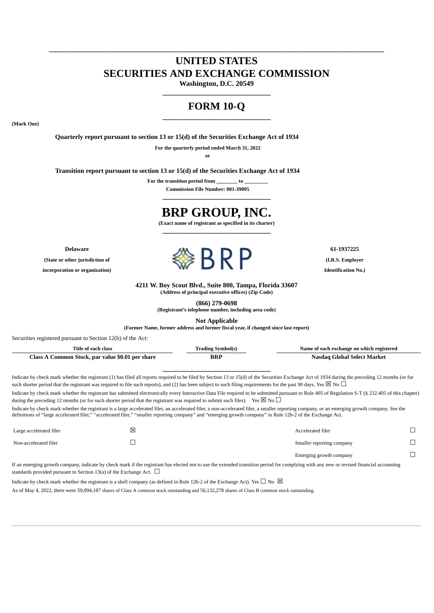## **UNITED STATES SECURITIES AND EXCHANGE COMMISSION**

**\_\_\_\_\_\_\_\_\_\_\_\_\_\_\_\_\_\_\_\_\_\_\_\_\_\_\_\_\_\_\_\_\_\_\_\_\_\_\_\_\_\_\_\_\_\_\_\_\_\_\_\_\_\_\_\_\_\_\_\_\_\_\_\_\_\_\_\_\_\_\_\_\_\_\_\_\_\_\_\_\_\_\_\_\_\_\_\_\_\_\_\_\_**

**Washington, D.C. 20549 \_\_\_\_\_\_\_\_\_\_\_\_\_\_\_\_\_\_\_\_\_\_\_\_\_\_\_\_\_\_**

## **FORM 10-Q \_\_\_\_\_\_\_\_\_\_\_\_\_\_\_\_\_\_\_\_\_\_\_\_\_\_\_\_\_\_**

**(Mark One)**

**Quarterly report pursuant to section 13 or 15(d) of the Securities Exchange Act of 1934**

**For the quarterly period ended March 31, 2022**

**or**

**Transition report pursuant to section 13 or 15(d) of the Securities Exchange Act of 1934**

**For the transition period from \_\_\_\_\_\_\_\_ to \_\_\_\_\_\_\_\_\_**

**Commission File Number: 001-39095**

# **BRP GROUP, INC.**

**\_\_\_\_\_\_\_\_\_\_\_\_\_\_\_\_\_\_\_\_\_\_\_\_\_\_\_\_\_\_**

**(Exact name of registrant as specified in its charter) \_\_\_\_\_\_\_\_\_\_\_\_\_\_\_\_\_\_\_\_\_\_\_\_\_\_\_\_\_\_**



**4211 W. Boy Scout Blvd., Suite 800, Tampa, Florida 33607 (Address of principal executive offices) (Zip Code)**

**(866) 279-0698**

**(Registrant's telephone number, including area code)**

**Not Applicable**

**(Former Name, former address and former fiscal year, if changed since last report)**

Securities registered pursuant to Section 12(b) of the Act:

| Title of each class                              | <b>Trading Symbol(s)</b> | Name of each exchange on which registered |
|--------------------------------------------------|--------------------------|-------------------------------------------|
| Class A Common Stock, par value \$0.01 per share | <b>BRP</b>               | Nasdag Global Select Market               |
|                                                  |                          |                                           |

Indicate by check mark whether the registrant (1) has filed all reports required to be filed by Section 13 or 15(d) of the Securities Exchange Act of 1934 during the preceding 12 months (or for such shorter period that the registrant was required to file such reports), and (2) has been subject to such filing requirements for the past 90 days. Yes  $\boxtimes$  No  $\Box$ 

Indicate by check mark whether the registrant has submitted electronically every Interactive Data File required to be submitted pursuant to Rule 405 of Regulation S-T (§ 232.405 of this chapter) during the preceding 12 months (or for such shorter period that the registrant was required to submit such files). Yes  $\boxtimes$  No  $\Box$ 

Indicate by check mark whether the registrant is a large accelerated filer, an accelerated filer, a non-accelerated filer, a smaller reporting company, or an emerging growth company. See the definitions of "large accelerated filer," "accelerated filer," "smaller reporting company" and "emerging growth company" in Rule 12b-2 of the Exchange Act.

| $\mathbf{r}$<br>the contract of the contract of the contract of the contract of the contract of the contract of the contract of |   |  | $\cdot$ $\cdot$ $\cdot$ $\cdot$ $\cdot$ $\cdot$<br>$\mathbf{r}$ . The contract of the contract of the contract of the contract of the contract of the contract of the contract of the contract of the contract of the contract of the contract of the contract of the contract of th |  |
|---------------------------------------------------------------------------------------------------------------------------------|---|--|--------------------------------------------------------------------------------------------------------------------------------------------------------------------------------------------------------------------------------------------------------------------------------------|--|
|                                                                                                                                 |   |  | Emerging growth company                                                                                                                                                                                                                                                              |  |
| Non-accelerated filer                                                                                                           |   |  | Smaller reporting company                                                                                                                                                                                                                                                            |  |
| Large accelerated filer                                                                                                         | ⊠ |  | Accelerated filer                                                                                                                                                                                                                                                                    |  |

If an emerging growth company, indicate by check mark if the registrant has elected not to use the extended transition period for complying with any new or revised financial accounting standards provided pursuant to Section 13(a) of the Exchange Act.  $\Box$ 

Indicate by check mark whether the registrant is a shell company (as defined in Rule 12b-2 of the Exchange Act). Yes  $\Box$  No  $\boxtimes$ 

As of May 4, 2022, there were 59,094,187 shares of Class A common stock outstanding and 56,132,278 shares of Class B common stock outstanding.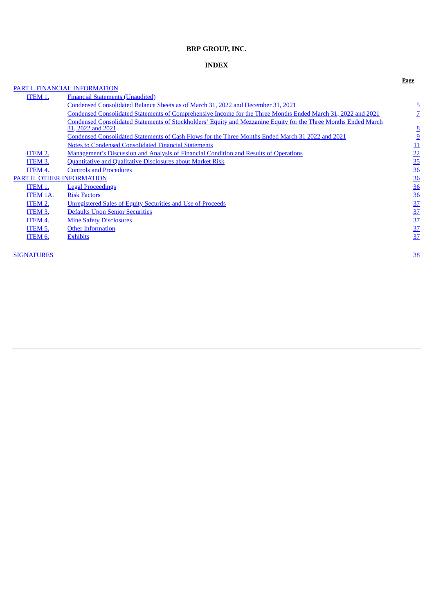## **INDEX**

|                   | PART I. FINANCIAL INFORMATION                                                                                   | <u>Page</u>     |
|-------------------|-----------------------------------------------------------------------------------------------------------------|-----------------|
| ITEM 1.           | <b>Financial Statements (Unaudited)</b>                                                                         |                 |
|                   | Condensed Consolidated Balance Sheets as of March 31, 2022 and December 31, 2021                                | $\overline{5}$  |
|                   | Condensed Consolidated Statements of Comprehensive Income for the Three Months Ended March 31, 2022 and 2021    |                 |
|                   | Condensed Consolidated Statements of Stockholders' Equity and Mezzanine Equity for the Three Months Ended March |                 |
|                   | 31, 2022 and 2021                                                                                               | $\underline{8}$ |
|                   | Condensed Consolidated Statements of Cash Flows for the Three Months Ended March 31 2022 and 2021               | $\overline{9}$  |
|                   | <b>Notes to Condensed Consolidated Financial Statements</b>                                                     | 11              |
| ITEM 2.           | <b>Management's Discussion and Analysis of Financial Condition and Results of Operations</b>                    | 22              |
| ITEM 3.           | <b>Quantitative and Qualitative Disclosures about Market Risk</b>                                               | <u>35</u>       |
| ITEM 4.           | <b>Controls and Procedures</b>                                                                                  | <u>36</u>       |
|                   | PART II. OTHER INFORMATION                                                                                      | <b>36</b>       |
| ITEM 1.           | <b>Legal Proceedings</b>                                                                                        | <u>36</u>       |
| <b>ITEM 1A.</b>   | <b>Risk Factors</b>                                                                                             | 36              |
| ITEM 2.           | Unregistered Sales of Equity Securities and Use of Proceeds                                                     | 37              |
| ITEM 3.           | <b>Defaults Upon Senior Securities</b>                                                                          | $\overline{37}$ |
| ITEM 4.           | <b>Mine Safety Disclosures</b>                                                                                  | 37              |
| ITEM 5.           | <b>Other Information</b>                                                                                        | 37              |
| ITEM 6.           | <b>Exhibits</b>                                                                                                 | 37              |
| <b>SIGNATURES</b> |                                                                                                                 | <b>38</b>       |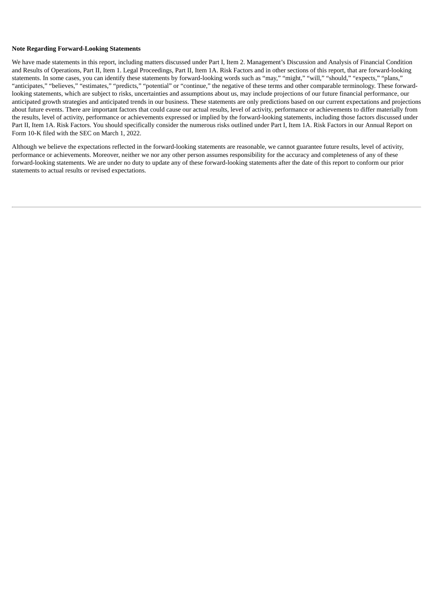### **Note Regarding Forward-Looking Statements**

We have made statements in this report, including matters discussed under Part I, Item 2. Management's Discussion and Analysis of Financial Condition and Results of Operations, Part II, Item 1. Legal Proceedings, Part II, Item 1A. Risk Factors and in other sections of this report, that are forward-looking statements. In some cases, you can identify these statements by forward-looking words such as "may," "might," "will," "should," "expects," "plans," "anticipates," "believes," "estimates," "predicts," "potential" or "continue," the negative of these terms and other comparable terminology. These forwardlooking statements, which are subject to risks, uncertainties and assumptions about us, may include projections of our future financial performance, our anticipated growth strategies and anticipated trends in our business. These statements are only predictions based on our current expectations and projections about future events. There are important factors that could cause our actual results, level of activity, performance or achievements to differ materially from the results, level of activity, performance or achievements expressed or implied by the forward-looking statements, including those factors discussed under Part II, Item 1A. Risk Factors. You should specifically consider the numerous risks outlined under Part I, Item 1A. Risk Factors in our Annual Report on Form 10-K filed with the SEC on March 1, 2022.

Although we believe the expectations reflected in the forward-looking statements are reasonable, we cannot guarantee future results, level of activity, performance or achievements. Moreover, neither we nor any other person assumes responsibility for the accuracy and completeness of any of these forward-looking statements. We are under no duty to update any of these forward-looking statements after the date of this report to conform our prior statements to actual results or revised expectations.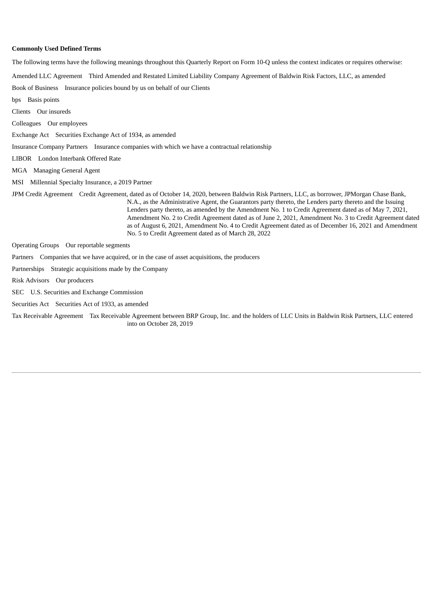#### **Commonly Used Defined Terms**

The following terms have the following meanings throughout this Quarterly Report on Form 10-Q unless the context indicates or requires otherwise:

Amended LLC Agreement Third Amended and Restated Limited Liability Company Agreement of Baldwin Risk Factors, LLC, as amended

Book of Business Insurance policies bound by us on behalf of our Clients

bps Basis points

Clients Our insureds

Colleagues Our employees

Exchange Act Securities Exchange Act of 1934, as amended

Insurance Company Partners Insurance companies with which we have a contractual relationship

LIBOR London Interbank Offered Rate

MGA Managing General Agent

MSI Millennial Specialty Insurance, a 2019 Partner

JPM Credit Agreement Credit Agreement, dated as of October 14, 2020, between Baldwin Risk Partners, LLC, as borrower, JPMorgan Chase Bank, N.A., as the Administrative Agent, the Guarantors party thereto, the Lenders party thereto and the Issuing Lenders party thereto, as amended by the Amendment No. 1 to Credit Agreement dated as of May 7, 2021, Amendment No. 2 to Credit Agreement dated as of June 2, 2021, Amendment No. 3 to Credit Agreement dated as of August 6, 2021, Amendment No. 4 to Credit Agreement dated as of December 16, 2021 and Amendment No. 5 to Credit Agreement dated as of March 28, 2022

Operating Groups Our reportable segments

Partners Companies that we have acquired, or in the case of asset acquisitions, the producers

Partnerships Strategic acquisitions made by the Company

Risk Advisors Our producers

SEC U.S. Securities and Exchange Commission

Securities Act Securities Act of 1933, as amended

<span id="page-3-0"></span>Tax Receivable Agreement Tax Receivable Agreement between BRP Group, Inc. and the holders of LLC Units in Baldwin Risk Partners, LLC entered into on October 28, 2019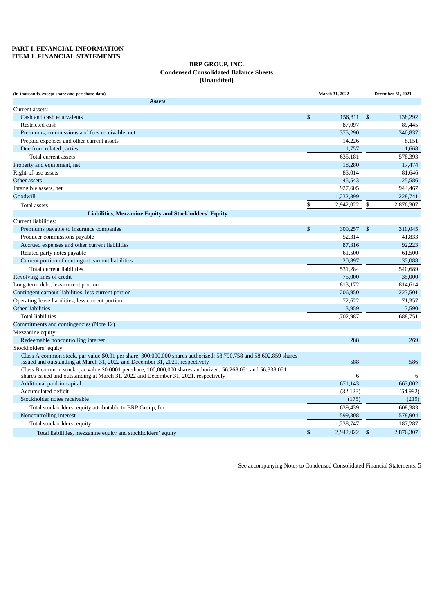## <span id="page-4-1"></span><span id="page-4-0"></span>**PART I. FINANCIAL INFORMATION ITEM 1. FINANCIAL STATEMENTS**

## **BRP GROUP, INC. Condensed Consolidated Balance Sheets (Unaudited)**

| (in thousands, except share and per share data)<br>March 31, 2022                                                                                                                                        | <b>December 31, 2021</b> |  |  |
|----------------------------------------------------------------------------------------------------------------------------------------------------------------------------------------------------------|--------------------------|--|--|
| <b>Assets</b>                                                                                                                                                                                            |                          |  |  |
| Current assets:                                                                                                                                                                                          |                          |  |  |
| Cash and cash equivalents<br>\$<br>156,811<br>-\$                                                                                                                                                        | 138,292                  |  |  |
| Restricted cash<br>87,097                                                                                                                                                                                | 89,445                   |  |  |
| 375,290<br>Premiums, commissions and fees receivable, net                                                                                                                                                | 340,837                  |  |  |
| Prepaid expenses and other current assets<br>14,226                                                                                                                                                      | 8,151                    |  |  |
| Due from related parties<br>1,757                                                                                                                                                                        | 1,668                    |  |  |
| 635,181<br>Total current assets                                                                                                                                                                          | 578,393                  |  |  |
| 18,280<br>Property and equipment, net                                                                                                                                                                    | 17,474                   |  |  |
| Right-of-use assets<br>83,014                                                                                                                                                                            | 81,646                   |  |  |
| 45,543<br>Other assets                                                                                                                                                                                   | 25,586                   |  |  |
| Intangible assets, net<br>927,605                                                                                                                                                                        | 944,467                  |  |  |
| Goodwill<br>1,232,399                                                                                                                                                                                    | 1,228,741                |  |  |
| \$<br>2,942,022<br>\$<br><b>Total assets</b>                                                                                                                                                             | 2,876,307                |  |  |
| <b>Liabilities, Mezzanine Equity and Stockholders' Equity</b>                                                                                                                                            |                          |  |  |
| Current liabilities:                                                                                                                                                                                     |                          |  |  |
| \$<br>309,257<br>\$<br>Premiums payable to insurance companies                                                                                                                                           | 310,045                  |  |  |
| Producer commissions payable<br>52,314                                                                                                                                                                   | 41,833                   |  |  |
| Accrued expenses and other current liabilities<br>87,316                                                                                                                                                 | 92,223                   |  |  |
| Related party notes payable<br>61,500                                                                                                                                                                    | 61,500                   |  |  |
| 20,897<br>Current portion of contingent earnout liabilities                                                                                                                                              | 35,088                   |  |  |
| 531,284<br>Total current liabilities                                                                                                                                                                     | 540,689                  |  |  |
| Revolving lines of credit<br>75,000                                                                                                                                                                      | 35,000                   |  |  |
| 813,172<br>Long-term debt, less current portion                                                                                                                                                          | 814,614                  |  |  |
| Contingent earnout liabilities, less current portion<br>206,950                                                                                                                                          | 223,501                  |  |  |
| Operating lease liabilities, less current portion<br>72,622                                                                                                                                              | 71,357                   |  |  |
| Other liabilities<br>3,959                                                                                                                                                                               | 3,590                    |  |  |
| <b>Total liabilities</b><br>1,702,987                                                                                                                                                                    | 1,688,751                |  |  |
| Commitments and contingencies (Note 12)                                                                                                                                                                  |                          |  |  |
| Mezzanine equity:                                                                                                                                                                                        |                          |  |  |
| Redeemable noncontrolling interest<br>288                                                                                                                                                                | 269                      |  |  |
| Stockholders' equity:                                                                                                                                                                                    |                          |  |  |
| Class A common stock, par value \$0.01 per share, 300,000,000 shares authorized; 58,790,758 and 58,602,859 shares<br>588<br>issued and outstanding at March 31, 2022 and December 31, 2021, respectively | 586                      |  |  |
| Class B common stock, par value \$0.0001 per share, 100,000,000 shares authorized; 56,268,051 and 56,338,051<br>shares issued and outstanding at March 31, 2022 and December 31, 2021, respectively<br>6 | 6                        |  |  |
| 671,143<br>Additional paid-in capital                                                                                                                                                                    | 663,002                  |  |  |
| Accumulated deficit<br>(32, 123)                                                                                                                                                                         | (54, 992)                |  |  |
| Stockholder notes receivable<br>(175)                                                                                                                                                                    | (219)                    |  |  |
| Total stockholders' equity attributable to BRP Group, Inc.<br>639,439                                                                                                                                    | 608,383                  |  |  |
| Noncontrolling interest<br>599,308                                                                                                                                                                       | 578,904                  |  |  |
| 1,238,747<br>Total stockholders' equity                                                                                                                                                                  | 1,187,287                |  |  |
| $\mathbb{S}$<br>2,942,022<br>$\mathfrak{S}$<br>Total liabilities, mezzanine equity and stockholders' equity                                                                                              | 2,876,307                |  |  |

See accompanying Notes to Condensed Consolidated Financial Statements. 5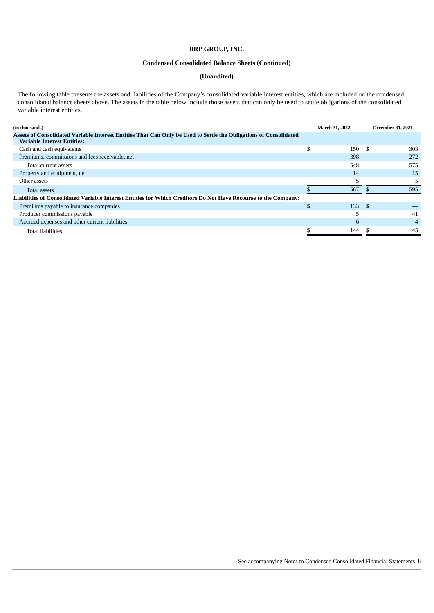## **Condensed Consolidated Balance Sheets (Continued)**

## **(Unaudited)**

The following table presents the assets and liabilities of the Company's consolidated variable interest entities, which are included on the condensed consolidated balance sheets above. The assets in the table below include those assets that can only be used to settle obligations of the consolidated variable interest entities.

<span id="page-5-0"></span>

| (in thousands)                                                                                                                                          | March 31, 2022 |              | <b>December 31, 2021</b> |
|---------------------------------------------------------------------------------------------------------------------------------------------------------|----------------|--------------|--------------------------|
| Assets of Consolidated Variable Interest Entities That Can Only be Used to Settle the Obligations of Consolidated<br><b>Variable Interest Entities:</b> |                |              |                          |
| Cash and cash equivalents                                                                                                                               | 150            | \$.          | 303                      |
| Premiums, commissions and fees receivable, net                                                                                                          | 398            |              | 272                      |
| Total current assets                                                                                                                                    | 548            |              | 575                      |
| Property and equipment, net                                                                                                                             | 14             |              | 15                       |
| Other assets                                                                                                                                            |                |              |                          |
| <b>Total assets</b>                                                                                                                                     | 567            |              | 595                      |
| Liabilities of Consolidated Variable Interest Entities for Which Creditors Do Not Have Recourse to the Company:                                         |                |              |                          |
| Premiums payable to insurance companies                                                                                                                 | 133            | $\mathsf{S}$ |                          |
| Producer commissions payable                                                                                                                            |                |              | 41                       |
| Accrued expenses and other current liabilities                                                                                                          | b              |              | 4                        |
| <b>Total liabilities</b>                                                                                                                                | 144            |              | 45                       |
|                                                                                                                                                         |                |              |                          |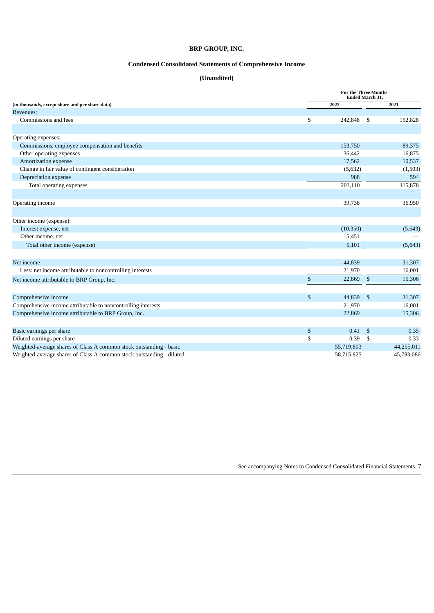## **Condensed Consolidated Statements of Comprehensive Income**

## **(Unaudited)**

|                                                                       |      | <b>For the Three Months</b><br>Ended March 31, |      |            |  |  |  |  |
|-----------------------------------------------------------------------|------|------------------------------------------------|------|------------|--|--|--|--|
| (in thousands, except share and per share data)                       | 2022 |                                                | 2021 |            |  |  |  |  |
| Revenues:                                                             |      |                                                |      |            |  |  |  |  |
| Commissions and fees                                                  | \$   | 242,848                                        | \$   | 152,828    |  |  |  |  |
|                                                                       |      |                                                |      |            |  |  |  |  |
| Operating expenses:                                                   |      |                                                |      |            |  |  |  |  |
| Commissions, employee compensation and benefits                       |      | 153,750                                        |      | 89,375     |  |  |  |  |
| Other operating expenses                                              |      | 36,442                                         |      | 16,875     |  |  |  |  |
| Amortization expense                                                  |      | 17,562                                         |      | 10,537     |  |  |  |  |
| Change in fair value of contingent consideration                      |      | (5,632)                                        |      | (1,503)    |  |  |  |  |
| Depreciation expense                                                  |      | 988                                            |      | 594        |  |  |  |  |
| Total operating expenses                                              |      | 203,110                                        |      | 115,878    |  |  |  |  |
|                                                                       |      |                                                |      |            |  |  |  |  |
| Operating income                                                      |      | 39,738                                         |      | 36,950     |  |  |  |  |
| Other income (expense):                                               |      |                                                |      |            |  |  |  |  |
| Interest expense, net                                                 |      | (10, 350)                                      |      | (5,643)    |  |  |  |  |
| Other income, net                                                     |      | 15,451                                         |      |            |  |  |  |  |
| Total other income (expense)                                          |      | 5,101                                          |      | (5,643)    |  |  |  |  |
|                                                                       |      |                                                |      |            |  |  |  |  |
| Net income                                                            |      | 44,839                                         |      | 31,307     |  |  |  |  |
| Less: net income attributable to noncontrolling interests             |      | 21,970                                         |      | 16,001     |  |  |  |  |
| Net income attributable to BRP Group, Inc.                            | \$   | 22,869                                         | \$   | 15,306     |  |  |  |  |
|                                                                       |      |                                                |      |            |  |  |  |  |
| Comprehensive income                                                  | \$   | 44,839                                         | \$   | 31,307     |  |  |  |  |
| Comprehensive income attributable to noncontrolling interests         |      | 21,970                                         |      | 16,001     |  |  |  |  |
| Comprehensive income attributable to BRP Group, Inc.                  |      | 22,869                                         |      | 15,306     |  |  |  |  |
| Basic earnings per share                                              | \$   | 0.41                                           | \$   | 0.35       |  |  |  |  |
| Diluted earnings per share                                            | \$   | 0.39                                           | \$   | 0.33       |  |  |  |  |
| Weighted-average shares of Class A common stock outstanding - basic   |      | 55,719,803                                     |      | 44,255,011 |  |  |  |  |
| Weighted-average shares of Class A common stock outstanding - diluted |      | 58,715,825                                     |      | 45,783,086 |  |  |  |  |

<span id="page-6-0"></span>See accompanying Notes to Condensed Consolidated Financial Statements. 7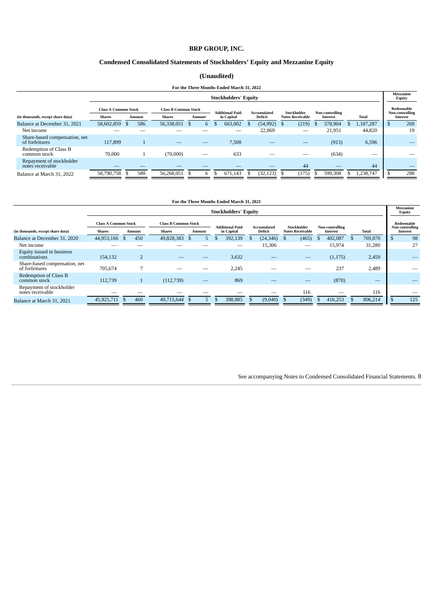## **Condensed Consolidated Statements of Stockholders' Equity and Mezzanine Equity**

## **(Unaudited)**

| For the Three Months Ended March 31, 2022       |                                              |     |        |                                              |     |        |   |                                       |    |                        |  |                                        |                             |              |    |                                           |
|-------------------------------------------------|----------------------------------------------|-----|--------|----------------------------------------------|-----|--------|---|---------------------------------------|----|------------------------|--|----------------------------------------|-----------------------------|--------------|----|-------------------------------------------|
|                                                 |                                              |     |        |                                              |     |        |   | <b>Stockholders' Equity</b>           |    |                        |  |                                        |                             |              |    | Mezzanine<br>Equity                       |
| (in thousands, except share data)               | <b>Class A Common Stock</b><br><b>Shares</b> |     | Amount | <b>Class B Common Stock</b><br><b>Shares</b> |     | Amount |   | <b>Additional Paid-</b><br>in Capital |    | Accumulated<br>Deficit |  | Stockholder<br><b>Notes Receivable</b> | Non-controlling<br>Interest | <b>Total</b> |    | Redeemable<br>Non-controlling<br>Interest |
| Balance at December 31, 2021                    | 58,602,859                                   | - S | 586    | 56,338,051                                   | - 5 | 6      | S | 663,002                               | -S | $(54,992)$ \$          |  | (219)                                  | 578,904                     | 1,187,287    | -S | 269                                       |
| Net income                                      |                                              |     |        |                                              |     |        |   |                                       |    | 22,869                 |  |                                        | 21,951                      | 44,820       |    | 19                                        |
| Share-based compensation, net<br>of forfeitures | 117,899                                      |     |        |                                              |     |        |   | 7,508                                 |    |                        |  |                                        | (913)                       | 6,596        |    |                                           |
| Redemption of Class B<br>common stock           | 70,000                                       |     |        | (70,000)                                     |     |        |   | 633                                   |    |                        |  |                                        | (634)                       |              |    |                                           |
| Repayment of stockholder<br>notes receivable    |                                              |     |        |                                              |     |        |   |                                       |    |                        |  | 44                                     | __                          | 44           |    |                                           |
| Balance at March 31, 2022                       | 58,790,758 \$                                |     | 588    | 56.268.051                                   |     | 6      | ъ | 671.143                               |    | (32, 123)              |  | (175)                                  | 599,308                     | 1,238,747    |    | 288                                       |
|                                                 |                                              |     |        |                                              |     |        |   |                                       |    |                        |  |                                        |                             |              |    |                                           |

## **For the Three Months Ended March 31, 2021**

<span id="page-7-0"></span>

| <b>Stockholders' Equity</b>                     |                                              |  |                |                                              |        |  |                                       |  |                               |  |                                        |  |                                    | <b>Mezzanine</b><br>Equity |              |                                           |
|-------------------------------------------------|----------------------------------------------|--|----------------|----------------------------------------------|--------|--|---------------------------------------|--|-------------------------------|--|----------------------------------------|--|------------------------------------|----------------------------|--------------|-------------------------------------------|
| (in thousands, except share data)               | <b>Class A Common Stock</b><br><b>Shares</b> |  | Amount         | <b>Class B Common Stock</b><br><b>Shares</b> | Amount |  | <b>Additional Paid-</b><br>in Capital |  | Accumulated<br><b>Deficit</b> |  | Stockholder<br><b>Notes Receivable</b> |  | Non-controlling<br><b>Interest</b> |                            | <b>Total</b> | Redeemable<br>Non-controlling<br>Interest |
| Balance at December 31, 2020                    | 44,953,166 \$                                |  | 450            | 49,828,383 \$                                | 5.     |  | 392,139                               |  | (24, 346)                     |  | (465)                                  |  | 402.087                            |                            | 769,870      | 98                                        |
| Net income                                      |                                              |  |                |                                              |        |  |                                       |  | 15,306                        |  |                                        |  | 15,974                             |                            | 31,280       | 27                                        |
| Equity issued in business<br>combinations       | 154,132                                      |  | $\overline{2}$ |                                              |        |  | 3,632                                 |  |                               |  |                                        |  | (1, 175)                           |                            | 2,459        |                                           |
| Share-based compensation, net<br>of forfeitures | 705.674                                      |  |                |                                              |        |  | 2,245                                 |  |                               |  |                                        |  | 237                                |                            | 2,489        |                                           |
| Redemption of Class B<br>common stock           | 112,739                                      |  |                | (112, 739)                                   | –      |  | 869                                   |  |                               |  |                                        |  | (870)                              |                            |              |                                           |
| Repayment of stockholder<br>notes receivable    |                                              |  |                |                                              |        |  |                                       |  |                               |  | 116                                    |  |                                    |                            | 116          |                                           |
| Balance at March 31, 2021                       | 45,925,711 \$                                |  | 460            | 49,715,644 \$                                | 5      |  | 398,885                               |  | (9,040)                       |  | (349)                                  |  | 416,253                            |                            | 806,214      | 125                                       |

See accompanying Notes to Condensed Consolidated Financial Statements. 8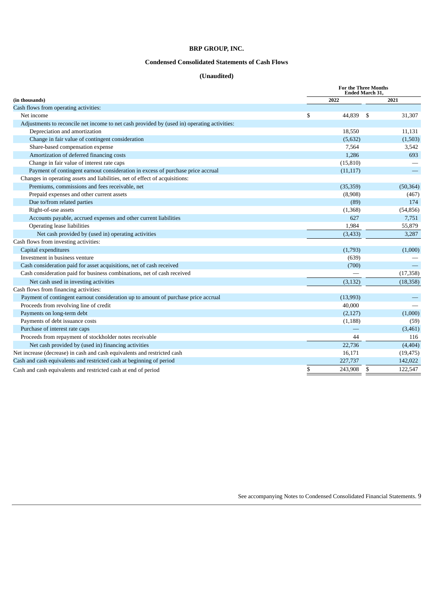## **Condensed Consolidated Statements of Cash Flows**

## **(Unaudited)**

|                                                                                             | <b>For the Three Months</b><br>Ended March 31, |    |           |  |  |  |
|---------------------------------------------------------------------------------------------|------------------------------------------------|----|-----------|--|--|--|
| (in thousands)                                                                              | 2022                                           |    | 2021      |  |  |  |
| Cash flows from operating activities:                                                       |                                                |    |           |  |  |  |
| Net income                                                                                  | \$<br>44,839                                   | \$ | 31,307    |  |  |  |
| Adjustments to reconcile net income to net cash provided by (used in) operating activities: |                                                |    |           |  |  |  |
| Depreciation and amortization                                                               | 18,550                                         |    | 11,131    |  |  |  |
| Change in fair value of contingent consideration                                            | (5,632)                                        |    | (1,503)   |  |  |  |
| Share-based compensation expense                                                            | 7,564                                          |    | 3,542     |  |  |  |
| Amortization of deferred financing costs                                                    | 1,286                                          |    | 693       |  |  |  |
| Change in fair value of interest rate caps                                                  | (15, 810)                                      |    |           |  |  |  |
| Payment of contingent earnout consideration in excess of purchase price accrual             | (11, 117)                                      |    |           |  |  |  |
| Changes in operating assets and liabilities, net of effect of acquisitions:                 |                                                |    |           |  |  |  |
| Premiums, commissions and fees receivable, net                                              | (35,359)                                       |    | (50, 364) |  |  |  |
| Prepaid expenses and other current assets                                                   | (8,908)                                        |    | (467)     |  |  |  |
| Due to/from related parties                                                                 | (89)                                           |    | 174       |  |  |  |
| Right-of-use assets                                                                         | (1,368)                                        |    | (54, 856) |  |  |  |
| Accounts payable, accrued expenses and other current liabilities                            | 627                                            |    | 7,751     |  |  |  |
| Operating lease liabilities                                                                 | 1,984                                          |    | 55,879    |  |  |  |
| Net cash provided by (used in) operating activities                                         | (3, 433)                                       |    | 3,287     |  |  |  |
| Cash flows from investing activities:                                                       |                                                |    |           |  |  |  |
| Capital expenditures                                                                        | (1,793)                                        |    | (1,000)   |  |  |  |
| Investment in business venture                                                              | (639)                                          |    |           |  |  |  |
| Cash consideration paid for asset acquisitions, net of cash received                        | (700)                                          |    |           |  |  |  |
| Cash consideration paid for business combinations, net of cash received                     |                                                |    | (17, 358) |  |  |  |
| Net cash used in investing activities                                                       | (3, 132)                                       |    | (18, 358) |  |  |  |
| Cash flows from financing activities:                                                       |                                                |    |           |  |  |  |
| Payment of contingent earnout consideration up to amount of purchase price accrual          | (13,993)                                       |    |           |  |  |  |
| Proceeds from revolving line of credit                                                      | 40,000                                         |    |           |  |  |  |
| Payments on long-term debt                                                                  | (2,127)                                        |    | (1,000)   |  |  |  |
| Payments of debt issuance costs                                                             | (1, 188)                                       |    | (59)      |  |  |  |
| Purchase of interest rate caps                                                              |                                                |    | (3,461)   |  |  |  |
| Proceeds from repayment of stockholder notes receivable                                     | 44                                             |    | 116       |  |  |  |
| Net cash provided by (used in) financing activities                                         | 22,736                                         |    | (4, 404)  |  |  |  |
| Net increase (decrease) in cash and cash equivalents and restricted cash                    | 16,171                                         |    | (19, 475) |  |  |  |
| Cash and cash equivalents and restricted cash at beginning of period                        | 227,737                                        |    | 142,022   |  |  |  |
| Cash and cash equivalents and restricted cash at end of period                              | \$<br>243,908                                  | \$ | 122,547   |  |  |  |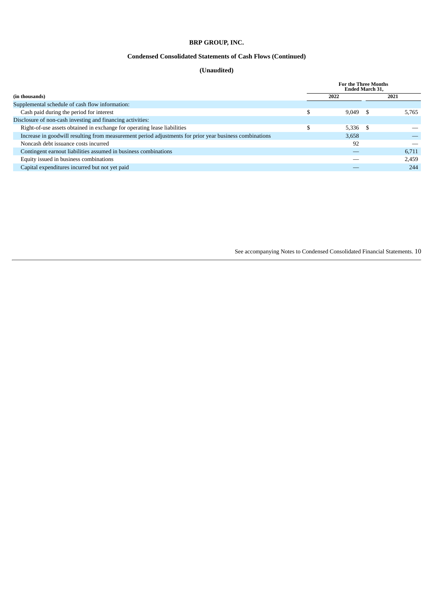## **Condensed Consolidated Statements of Cash Flows (Continued)**

## **(Unaudited)**

<span id="page-9-0"></span>

|                                                                                                         | <b>For the Three Months</b><br><b>Ended March 31.</b> |  |       |  |  |  |
|---------------------------------------------------------------------------------------------------------|-------------------------------------------------------|--|-------|--|--|--|
| (in thousands)                                                                                          | 2022                                                  |  | 2021  |  |  |  |
| Supplemental schedule of cash flow information:                                                         |                                                       |  |       |  |  |  |
| Cash paid during the period for interest                                                                | 9.049S                                                |  | 5.765 |  |  |  |
| Disclosure of non-cash investing and financing activities:                                              |                                                       |  |       |  |  |  |
| Right-of-use assets obtained in exchange for operating lease liabilities                                | 5,336 \$                                              |  |       |  |  |  |
| Increase in goodwill resulting from measurement period adjustments for prior year business combinations | 3.658                                                 |  |       |  |  |  |
| Noncash debt issuance costs incurred                                                                    | 92                                                    |  |       |  |  |  |
| Contingent earnout liabilities assumed in business combinations                                         |                                                       |  | 6,711 |  |  |  |
| Equity issued in business combinations                                                                  |                                                       |  | 2,459 |  |  |  |
| Capital expenditures incurred but not yet paid                                                          |                                                       |  | 244   |  |  |  |

See accompanying Notes to Condensed Consolidated Financial Statements. 10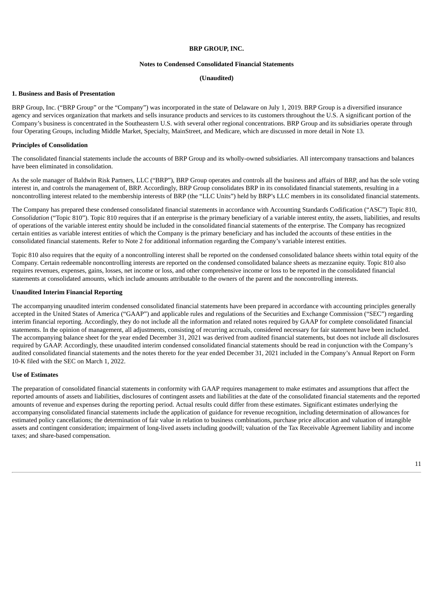#### **Notes to Condensed Consolidated Financial Statements**

#### **(Unaudited)**

#### **1. Business and Basis of Presentation**

BRP Group, Inc. ("BRP Group" or the "Company") was incorporated in the state of Delaware on July 1, 2019. BRP Group is a diversified insurance agency and services organization that markets and sells insurance products and services to its customers throughout the U.S. A significant portion of the Company's business is concentrated in the Southeastern U.S. with several other regional concentrations. BRP Group and its subsidiaries operate through four Operating Groups, including Middle Market, Specialty, MainStreet, and Medicare, which are discussed in more detail in Note 13.

#### **Principles of Consolidation**

The consolidated financial statements include the accounts of BRP Group and its wholly-owned subsidiaries. All intercompany transactions and balances have been eliminated in consolidation.

As the sole manager of Baldwin Risk Partners, LLC ("BRP"), BRP Group operates and controls all the business and affairs of BRP, and has the sole voting interest in, and controls the management of, BRP. Accordingly, BRP Group consolidates BRP in its consolidated financial statements, resulting in a noncontrolling interest related to the membership interests of BRP (the "LLC Units") held by BRP's LLC members in its consolidated financial statements.

The Company has prepared these condensed consolidated financial statements in accordance with Accounting Standards Codification ("ASC") Topic 810, *Consolidation* ("Topic 810"). Topic 810 requires that if an enterprise is the primary beneficiary of a variable interest entity, the assets, liabilities, and results of operations of the variable interest entity should be included in the consolidated financial statements of the enterprise. The Company has recognized certain entities as variable interest entities of which the Company is the primary beneficiary and has included the accounts of these entities in the consolidated financial statements. Refer to Note 2 for additional information regarding the Company's variable interest entities.

Topic 810 also requires that the equity of a noncontrolling interest shall be reported on the condensed consolidated balance sheets within total equity of the Company. Certain redeemable noncontrolling interests are reported on the condensed consolidated balance sheets as mezzanine equity. Topic 810 also requires revenues, expenses, gains, losses, net income or loss, and other comprehensive income or loss to be reported in the consolidated financial statements at consolidated amounts, which include amounts attributable to the owners of the parent and the noncontrolling interests.

#### **Unaudited Interim Financial Reporting**

The accompanying unaudited interim condensed consolidated financial statements have been prepared in accordance with accounting principles generally accepted in the United States of America ("GAAP") and applicable rules and regulations of the Securities and Exchange Commission ("SEC") regarding interim financial reporting. Accordingly, they do not include all the information and related notes required by GAAP for complete consolidated financial statements. In the opinion of management, all adjustments, consisting of recurring accruals, considered necessary for fair statement have been included. The accompanying balance sheet for the year ended December 31, 2021 was derived from audited financial statements, but does not include all disclosures required by GAAP. Accordingly, these unaudited interim condensed consolidated financial statements should be read in conjunction with the Company's audited consolidated financial statements and the notes thereto for the year ended December 31, 2021 included in the Company's Annual Report on Form 10-K filed with the SEC on March 1, 2022.

#### **Use of Estimates**

The preparation of consolidated financial statements in conformity with GAAP requires management to make estimates and assumptions that affect the reported amounts of assets and liabilities, disclosures of contingent assets and liabilities at the date of the consolidated financial statements and the reported amounts of revenue and expenses during the reporting period. Actual results could differ from these estimates. Significant estimates underlying the accompanying consolidated financial statements include the application of guidance for revenue recognition, including determination of allowances for estimated policy cancellations; the determination of fair value in relation to business combinations, purchase price allocation and valuation of intangible assets and contingent consideration; impairment of long-lived assets including goodwill; valuation of the Tax Receivable Agreement liability and income taxes; and share-based compensation.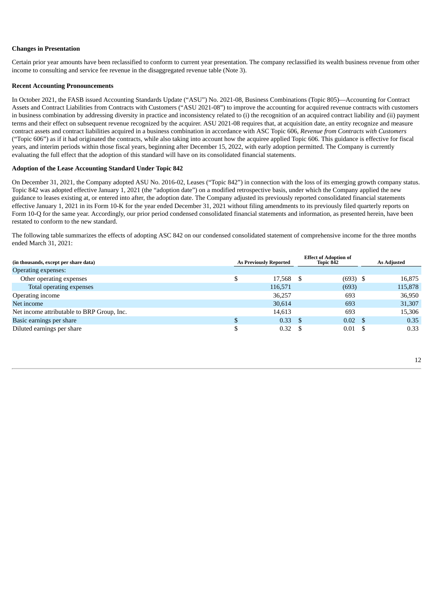## **Changes in Presentation**

Certain prior year amounts have been reclassified to conform to current year presentation. The company reclassified its wealth business revenue from other income to consulting and service fee revenue in the disaggregated revenue table (Note 3).

#### **Recent Accounting Pronouncements**

In October 2021, the FASB issued Accounting Standards Update ("ASU") No. 2021-08, Business Combinations (Topic 805)—Accounting for Contract Assets and Contract Liabilities from Contracts with Customers ("ASU 2021-08") to improve the accounting for acquired revenue contracts with customers in business combination by addressing diversity in practice and inconsistency related to (i) the recognition of an acquired contract liability and (ii) payment terms and their effect on subsequent revenue recognized by the acquirer. ASU 2021-08 requires that, at acquisition date, an entity recognize and measure contract assets and contract liabilities acquired in a business combination in accordance with ASC Topic 606, *Revenue from Contracts with Customers* ("Topic 606") as if it had originated the contracts, while also taking into account how the acquiree applied Topic 606. This guidance is effective for fiscal years, and interim periods within those fiscal years, beginning after December 15, 2022, with early adoption permitted. The Company is currently evaluating the full effect that the adoption of this standard will have on its consolidated financial statements.

### **Adoption of the Lease Accounting Standard Under Topic 842**

On December 31, 2021, the Company adopted ASU No. 2016-02, Leases ("Topic 842") in connection with the loss of its emerging growth company status. Topic 842 was adopted effective January 1, 2021 (the "adoption date") on a modified retrospective basis, under which the Company applied the new guidance to leases existing at, or entered into after, the adoption date. The Company adjusted its previously reported consolidated financial statements effective January 1, 2021 in its Form 10-K for the year ended December 31, 2021 without filing amendments to its previously filed quarterly reports on Form 10-Q for the same year. Accordingly, our prior period condensed consolidated financial statements and information, as presented herein, have been restated to conform to the new standard.

The following table summarizes the effects of adopting ASC 842 on our condensed consolidated statement of comprehensive income for the three months ended March 31, 2021:

| (in thousands, except per share data)      | <b>As Previously Reported</b> | <b>Effect of Adoption of</b><br>Topic 842 | <b>As Adjusted</b> |
|--------------------------------------------|-------------------------------|-------------------------------------------|--------------------|
| Operating expenses:                        |                               |                                           |                    |
| Other operating expenses                   | 17,568                        | $(693)$ \$<br>- S                         | 16,875             |
| Total operating expenses                   | 116,571                       | (693)                                     | 115,878            |
| Operating income                           | 36,257                        | 693                                       | 36,950             |
| Net income                                 | 30.614                        | 693                                       | 31,307             |
| Net income attributable to BRP Group, Inc. | 14,613                        | 693                                       | 15,306             |
| Basic earnings per share                   | 0.33                          | 0.02                                      | 0.35<br>- S        |
| Diluted earnings per share                 | 0.32                          | 0.01                                      | 0.33               |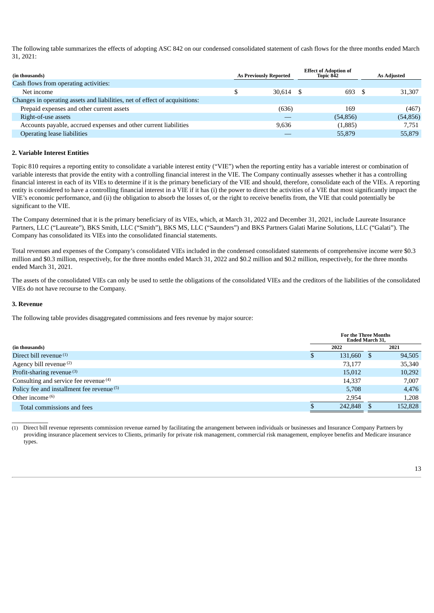The following table summarizes the effects of adopting ASC 842 on our condensed consolidated statement of cash flows for the three months ended March 31, 2021:

|                                                                             |                               | <b>Effect of Adoption of</b> |                    |           |  |
|-----------------------------------------------------------------------------|-------------------------------|------------------------------|--------------------|-----------|--|
| (in thousands)                                                              | <b>As Previously Reported</b> | Topic 842                    | <b>As Adjusted</b> |           |  |
| Cash flows from operating activities:                                       |                               |                              |                    |           |  |
| Net income                                                                  | 30.614 \$                     | 693                          |                    | 31,307    |  |
| Changes in operating assets and liabilities, net of effect of acquisitions: |                               |                              |                    |           |  |
| Prepaid expenses and other current assets                                   | (636)                         | 169                          |                    | (467)     |  |
| Right-of-use assets                                                         |                               | (54, 856)                    |                    | (54, 856) |  |
| Accounts payable, accrued expenses and other current liabilities            | 9.636                         | (1,885)                      |                    | 7.751     |  |
| Operating lease liabilities                                                 |                               | 55,879                       |                    | 55,879    |  |

#### **2. Variable Interest Entities**

Topic 810 requires a reporting entity to consolidate a variable interest entity ("VIE") when the reporting entity has a variable interest or combination of variable interests that provide the entity with a controlling financial interest in the VIE. The Company continually assesses whether it has a controlling financial interest in each of its VIEs to determine if it is the primary beneficiary of the VIE and should, therefore, consolidate each of the VIEs. A reporting entity is considered to have a controlling financial interest in a VIE if it has (i) the power to direct the activities of a VIE that most significantly impact the VIE's economic performance, and (ii) the obligation to absorb the losses of, or the right to receive benefits from, the VIE that could potentially be significant to the VIE.

The Company determined that it is the primary beneficiary of its VIEs, which, at March 31, 2022 and December 31, 2021, include Laureate Insurance Partners, LLC ("Laureate"), BKS Smith, LLC ("Smith"), BKS MS, LLC ("Saunders") and BKS Partners Galati Marine Solutions, LLC ("Galati"). The Company has consolidated its VIEs into the consolidated financial statements.

Total revenues and expenses of the Company's consolidated VIEs included in the condensed consolidated statements of comprehensive income were \$0.3 million and \$0.3 million, respectively, for the three months ended March 31, 2022 and \$0.2 million and \$0.2 million, respectively, for the three months ended March 31, 2021.

The assets of the consolidated VIEs can only be used to settle the obligations of the consolidated VIEs and the creditors of the liabilities of the consolidated VIEs do not have recourse to the Company.

#### **3. Revenue**

The following table provides disaggregated commissions and fees revenue by major source:

|                                                   | <b>For the Three Months</b><br>Ended March 31, |         |     |         |  |  |  |  |
|---------------------------------------------------|------------------------------------------------|---------|-----|---------|--|--|--|--|
| (in thousands)                                    |                                                | 2022    |     | 2021    |  |  |  |  |
| Direct bill revenue $(1)$                         |                                                | 131,660 | - S | 94,505  |  |  |  |  |
| Agency bill revenue <sup>(2)</sup>                |                                                | 73,177  |     | 35,340  |  |  |  |  |
| Profit-sharing revenue <sup>(3)</sup>             |                                                | 15,012  |     | 10,292  |  |  |  |  |
| Consulting and service fee revenue <sup>(4)</sup> |                                                | 14,337  |     | 7,007   |  |  |  |  |
| Policy fee and installment fee revenue (5)        |                                                | 5.708   |     | 4,476   |  |  |  |  |
| Other income $^{(6)}$                             |                                                | 2.954   |     | 1,208   |  |  |  |  |
| Total commissions and fees                        |                                                | 242,848 |     | 152,828 |  |  |  |  |

 $\overline{\phantom{a}}$ (1) Direct bill revenue represents commission revenue earned by facilitating the arrangement between individuals or businesses and Insurance Company Partners by providing insurance placement services to Clients, primarily for private risk management, commercial risk management, employee benefits and Medicare insurance types.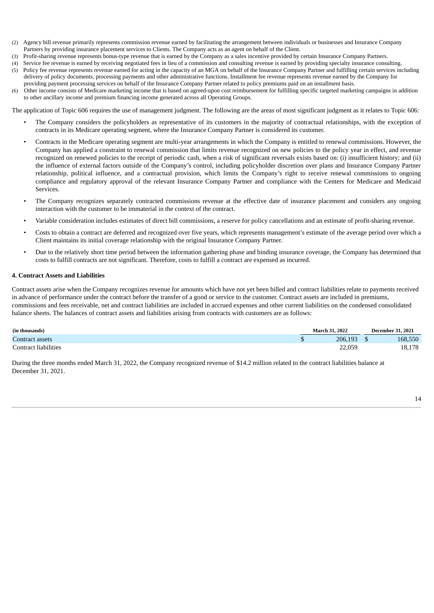- (2) Agency bill revenue primarily represents commission revenue earned by facilitating the arrangement between individuals or businesses and Insurance Company Partners by providing insurance placement services to Clients. The Company acts as an agent on behalf of the Client.
- (3) Profit-sharing revenue represents bonus-type revenue that is earned by the Company as a sales incentive provided by certain Insurance Company Partners.
- (4) Service fee revenue is earned by receiving negotiated fees in lieu of a commission and consulting revenue is earned by providing specialty insurance consulting.
- (5) Policy fee revenue represents revenue earned for acting in the capacity of an MGA on behalf of the Insurance Company Partner and fulfilling certain services including delivery of policy documents, processing payments and other administrative functions. Installment fee revenue represents revenue earned by the Company for providing payment processing services on behalf of the Insurance Company Partner related to policy premiums paid on an installment basis.
- (6) Other income consists of Medicare marketing income that is based on agreed-upon cost reimbursement for fulfilling specific targeted marketing campaigns in addition to other ancillary income and premium financing income generated across all Operating Groups.

The application of Topic 606 requires the use of management judgment. The following are the areas of most significant judgment as it relates to Topic 606:

- The Company considers the policyholders as representative of its customers in the majority of contractual relationships, with the exception of contracts in its Medicare operating segment, where the Insurance Company Partner is considered its customer.
- Contracts in the Medicare operating segment are multi-year arrangements in which the Company is entitled to renewal commissions. However, the Company has applied a constraint to renewal commission that limits revenue recognized on new policies to the policy year in effect, and revenue recognized on renewed policies to the receipt of periodic cash, when a risk of significant reversals exists based on: (i) insufficient history; and (ii) the influence of external factors outside of the Company's control, including policyholder discretion over plans and Insurance Company Partner relationship, political influence, and a contractual provision, which limits the Company's right to receive renewal commissions to ongoing compliance and regulatory approval of the relevant Insurance Company Partner and compliance with the Centers for Medicare and Medicaid Services.
- The Company recognizes separately contracted commissions revenue at the effective date of insurance placement and considers any ongoing interaction with the customer to be immaterial in the context of the contract.
- Variable consideration includes estimates of direct bill commissions, a reserve for policy cancellations and an estimate of profit-sharing revenue.
- Costs to obtain a contract are deferred and recognized over five years, which represents management's estimate of the average period over which a Client maintains its initial coverage relationship with the original Insurance Company Partner.
- Due to the relatively short time period between the information gathering phase and binding insurance coverage, the Company has determined that costs to fulfill contracts are not significant. Therefore, costs to fulfill a contract are expensed as incurred.

## **4. Contract Assets and Liabilities**

Contract assets arise when the Company recognizes revenue for amounts which have not yet been billed and contract liabilities relate to payments received in advance of performance under the contract before the transfer of a good or service to the customer. Contract assets are included in premiums, commissions and fees receivable, net and contract liabilities are included in accrued expenses and other current liabilities on the condensed consolidated balance sheets. The balances of contract assets and liabilities arising from contracts with customers are as follows:

| (in thousands)         | <b>March 31, 2022</b> | <b>December 31, 2021</b> |
|------------------------|-----------------------|--------------------------|
| <b>Contract assets</b> | 206.193               | 168,550                  |
| Contract liabilities   | 22,059                | 18,178                   |

During the three months ended March 31, 2022, the Company recognized revenue of \$14.2 million related to the contract liabilities balance at December 31, 2021.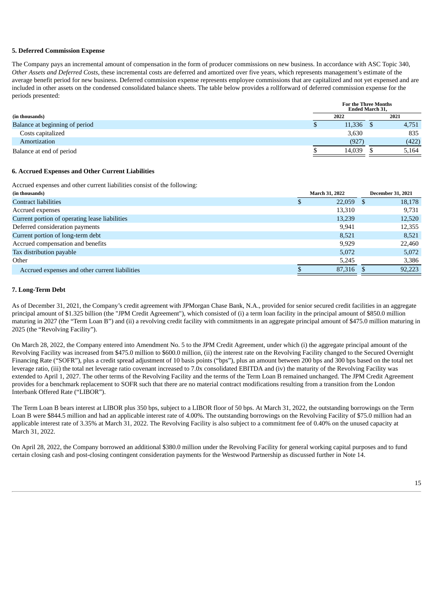#### **5. Deferred Commission Expense**

The Company pays an incremental amount of compensation in the form of producer commissions on new business. In accordance with ASC Topic 340, *Other Assets and Deferred Costs,* these incremental costs are deferred and amortized over five years, which represents management's estimate of the average benefit period for new business. Deferred commission expense represents employee commissions that are capitalized and not yet expensed and are included in other assets on the condensed consolidated balance sheets. The table below provides a rollforward of deferred commission expense for the periods presented:

|                                | <b>For the Three Months</b><br><b>Ended March 31,</b> |        |  |       |  |  |  |
|--------------------------------|-------------------------------------------------------|--------|--|-------|--|--|--|
| (in thousands)                 |                                                       | 2022   |  | 2021  |  |  |  |
| Balance at beginning of period | D                                                     | 11,336 |  | 4,751 |  |  |  |
| Costs capitalized              |                                                       | 3,630  |  | 835   |  |  |  |
| Amortization                   |                                                       | (927)  |  | (422) |  |  |  |
| Balance at end of period       |                                                       | 14,039 |  | 5,164 |  |  |  |

#### **6. Accrued Expenses and Other Current Liabilities**

Accrued expenses and other current liabilities consist of the following:

| (in thousands)                                 | <b>March 31, 2022</b> |        |     | <b>December 31, 2021</b> |
|------------------------------------------------|-----------------------|--------|-----|--------------------------|
| <b>Contract liabilities</b>                    |                       | 22,059 | - S | 18,178                   |
| Accrued expenses                               |                       | 13,310 |     | 9,731                    |
| Current portion of operating lease liabilities |                       | 13,239 |     | 12,520                   |
| Deferred consideration payments                |                       | 9,941  |     | 12,355                   |
| Current portion of long-term debt              |                       | 8,521  |     | 8,521                    |
| Accrued compensation and benefits              |                       | 9.929  |     | 22,460                   |
| Tax distribution payable                       |                       | 5,072  |     | 5,072                    |
| Other                                          |                       | 5,245  |     | 3,386                    |
| Accrued expenses and other current liabilities |                       | 87,316 |     | 92,223                   |

#### **7. Long-Term Debt**

As of December 31, 2021, the Company's credit agreement with JPMorgan Chase Bank, N.A., provided for senior secured credit facilities in an aggregate principal amount of \$1.325 billion (the "JPM Credit Agreement"), which consisted of (i) a term loan facility in the principal amount of \$850.0 million maturing in 2027 (the "Term Loan B") and (ii) a revolving credit facility with commitments in an aggregate principal amount of \$475.0 million maturing in 2025 (the "Revolving Facility").

On March 28, 2022, the Company entered into Amendment No. 5 to the JPM Credit Agreement, under which (i) the aggregate principal amount of the Revolving Facility was increased from \$475.0 million to \$600.0 million, (ii) the interest rate on the Revolving Facility changed to the Secured Overnight Financing Rate ("SOFR"), plus a credit spread adjustment of 10 basis points ("bps"), plus an amount between 200 bps and 300 bps based on the total net leverage ratio, (iii) the total net leverage ratio covenant increased to 7.0x consolidated EBITDA and (iv) the maturity of the Revolving Facility was extended to April 1, 2027. The other terms of the Revolving Facility and the terms of the Term Loan B remained unchanged. The JPM Credit Agreement provides for a benchmark replacement to SOFR such that there are no material contract modifications resulting from a transition from the London Interbank Offered Rate ("LIBOR").

The Term Loan B bears interest at LIBOR plus 350 bps, subject to a LIBOR floor of 50 bps. At March 31, 2022, the outstanding borrowings on the Term Loan B were \$844.5 million and had an applicable interest rate of 4.00%. The outstanding borrowings on the Revolving Facility of \$75.0 million had an applicable interest rate of 3.35% at March 31, 2022. The Revolving Facility is also subject to a commitment fee of 0.40% on the unused capacity at March 31, 2022.

On April 28, 2022, the Company borrowed an additional \$380.0 million under the Revolving Facility for general working capital purposes and to fund certain closing cash and post-closing contingent consideration payments for the Westwood Partnership as discussed further in Note 14.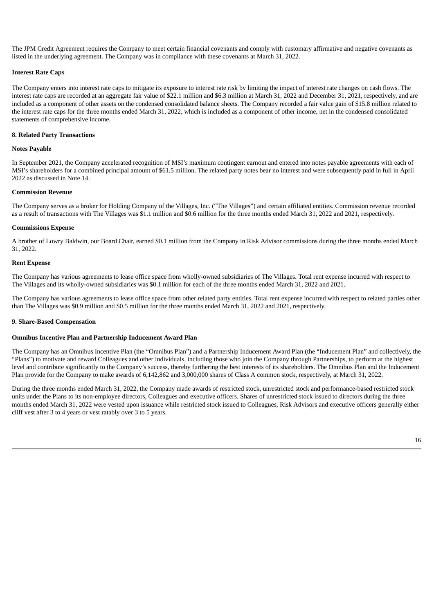The JPM Credit Agreement requires the Company to meet certain financial covenants and comply with customary affirmative and negative covenants as listed in the underlying agreement. The Company was in compliance with these covenants at March 31, 2022.

#### **Interest Rate Caps**

The Company enters into interest rate caps to mitigate its exposure to interest rate risk by limiting the impact of interest rate changes on cash flows. The interest rate caps are recorded at an aggregate fair value of \$22.1 million and \$6.3 million at March 31, 2022 and December 31, 2021, respectively, and are included as a component of other assets on the condensed consolidated balance sheets. The Company recorded a fair value gain of \$15.8 million related to the interest rate caps for the three months ended March 31, 2022, which is included as a component of other income, net in the condensed consolidated statements of comprehensive income.

#### **8. Related Party Transactions**

#### **Notes Payable**

In September 2021, the Company accelerated recognition of MSI's maximum contingent earnout and entered into notes payable agreements with each of MSI's shareholders for a combined principal amount of \$61.5 million. The related party notes bear no interest and were subsequently paid in full in April 2022 as discussed in Note 14.

#### **Commission Revenue**

The Company serves as a broker for Holding Company of the Villages, Inc. ("The Villages") and certain affiliated entities. Commission revenue recorded as a result of transactions with The Villages was \$1.1 million and \$0.6 million for the three months ended March 31, 2022 and 2021, respectively.

#### **Commissions Expense**

A brother of Lowry Baldwin, our Board Chair, earned \$0.1 million from the Company in Risk Advisor commissions during the three months ended March 31, 2022.

#### **Rent Expense**

The Company has various agreements to lease office space from wholly-owned subsidiaries of The Villages. Total rent expense incurred with respect to The Villages and its wholly-owned subsidiaries was \$0.1 million for each of the three months ended March 31, 2022 and 2021.

The Company has various agreements to lease office space from other related party entities. Total rent expense incurred with respect to related parties other than The Villages was \$0.9 million and \$0.5 million for the three months ended March 31, 2022 and 2021, respectively.

#### **9. Share-Based Compensation**

#### **Omnibus Incentive Plan and Partnership Inducement Award Plan**

The Company has an Omnibus Incentive Plan (the "Omnibus Plan") and a Partnership Inducement Award Plan (the "Inducement Plan" and collectively, the "Plans") to motivate and reward Colleagues and other individuals, including those who join the Company through Partnerships, to perform at the highest level and contribute significantly to the Company's success, thereby furthering the best interests of its shareholders. The Omnibus Plan and the Inducement Plan provide for the Company to make awards of 6,142,862 and 3,000,000 shares of Class A common stock, respectively, at March 31, 2022.

During the three months ended March 31, 2022, the Company made awards of restricted stock, unrestricted stock and performance-based restricted stock units under the Plans to its non-employee directors, Colleagues and executive officers. Shares of unrestricted stock issued to directors during the three months ended March 31, 2022 were vested upon issuance while restricted stock issued to Colleagues, Risk Advisors and executive officers generally either cliff vest after 3 to 4 years or vest ratably over 3 to 5 years.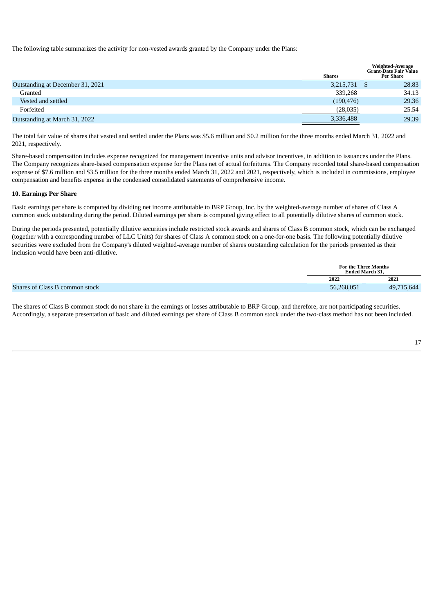The following table summarizes the activity for non-vested awards granted by the Company under the Plans:

|                                  | <b>Shares</b>  | Weighted-Average<br>Grant-Date Fair Value<br>Per Share |
|----------------------------------|----------------|--------------------------------------------------------|
| Outstanding at December 31, 2021 | $3,215,731$ \$ | 28.83                                                  |
| Granted                          | 339.268        | 34.13                                                  |
| Vested and settled               | (190, 476)     | 29.36                                                  |
| Forfeited                        | (28, 035)      | 25.54                                                  |
| Outstanding at March 31, 2022    | 3,336,488      | 29.39                                                  |

The total fair value of shares that vested and settled under the Plans was \$5.6 million and \$0.2 million for the three months ended March 31, 2022 and 2021, respectively.

Share-based compensation includes expense recognized for management incentive units and advisor incentives, in addition to issuances under the Plans. The Company recognizes share-based compensation expense for the Plans net of actual forfeitures. The Company recorded total share-based compensation expense of \$7.6 million and \$3.5 million for the three months ended March 31, 2022 and 2021, respectively, which is included in commissions, employee compensation and benefits expense in the condensed consolidated statements of comprehensive income.

#### **10. Earnings Per Share**

Basic earnings per share is computed by dividing net income attributable to BRP Group, Inc. by the weighted-average number of shares of Class A common stock outstanding during the period. Diluted earnings per share is computed giving effect to all potentially dilutive shares of common stock.

During the periods presented, potentially dilutive securities include restricted stock awards and shares of Class B common stock, which can be exchanged (together with a corresponding number of LLC Units) for shares of Class A common stock on a one-for-one basis. The following potentially dilutive securities were excluded from the Company's diluted weighted-average number of shares outstanding calculation for the periods presented as their inclusion would have been anti-dilutive.

|                                | <b>For the Three Months</b><br>Ended March 31. |            |
|--------------------------------|------------------------------------------------|------------|
|                                | 2022                                           | 2021       |
| Shares of Class B common stock | 56,268,051                                     | 49,715,644 |

The shares of Class B common stock do not share in the earnings or losses attributable to BRP Group, and therefore, are not participating securities. Accordingly, a separate presentation of basic and diluted earnings per share of Class B common stock under the two-class method has not been included.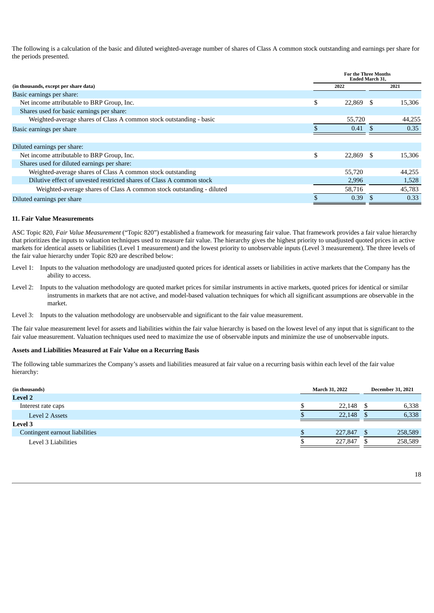The following is a calculation of the basic and diluted weighted-average number of shares of Class A common stock outstanding and earnings per share for the periods presented.

|                                                                       | <b>For the Three Months</b><br>Ended March 31, |      |        |  |
|-----------------------------------------------------------------------|------------------------------------------------|------|--------|--|
| (in thousands, except per share data)                                 | 2022                                           |      | 2021   |  |
| Basic earnings per share:                                             |                                                |      |        |  |
| Net income attributable to BRP Group, Inc.                            | \$<br>22,869                                   | - \$ | 15,306 |  |
| Shares used for basic earnings per share:                             |                                                |      |        |  |
| Weighted-average shares of Class A common stock outstanding - basic   | 55,720                                         |      | 44,255 |  |
| Basic earnings per share                                              | 0.41                                           |      | 0.35   |  |
|                                                                       |                                                |      |        |  |
| Diluted earnings per share:                                           |                                                |      |        |  |
| Net income attributable to BRP Group, Inc.                            | \$<br>22,869 \$                                |      | 15.306 |  |
| Shares used for diluted earnings per share:                           |                                                |      |        |  |
| Weighted-average shares of Class A common stock outstanding           | 55,720                                         |      | 44,255 |  |
| Dilutive effect of unvested restricted shares of Class A common stock | 2,996                                          |      | 1,528  |  |
| Weighted-average shares of Class A common stock outstanding - diluted | 58,716                                         |      | 45,783 |  |
| Diluted earnings per share                                            | 0.39                                           |      | 0.33   |  |

### **11. Fair Value Measurements**

ASC Topic 820, *Fair Value Measurement* ("Topic 820") established a framework for measuring fair value. That framework provides a fair value hierarchy that prioritizes the inputs to valuation techniques used to measure fair value. The hierarchy gives the highest priority to unadjusted quoted prices in active markets for identical assets or liabilities (Level 1 measurement) and the lowest priority to unobservable inputs (Level 3 measurement). The three levels of the fair value hierarchy under Topic 820 are described below:

Level 1: Inputs to the valuation methodology are unadjusted quoted prices for identical assets or liabilities in active markets that the Company has the ability to access.

Level 2: Inputs to the valuation methodology are quoted market prices for similar instruments in active markets, quoted prices for identical or similar instruments in markets that are not active, and model-based valuation techniques for which all significant assumptions are observable in the market.

Level 3: Inputs to the valuation methodology are unobservable and significant to the fair value measurement.

The fair value measurement level for assets and liabilities within the fair value hierarchy is based on the lowest level of any input that is significant to the fair value measurement. Valuation techniques used need to maximize the use of observable inputs and minimize the use of unobservable inputs.

## **Assets and Liabilities Measured at Fair Value on a Recurring Basis**

The following table summarizes the Company's assets and liabilities measured at fair value on a recurring basis within each level of the fair value hierarchy:

| (in thousands)                 | <b>March 31, 2022</b> |         |  | <b>December 31, 2021</b> |  |
|--------------------------------|-----------------------|---------|--|--------------------------|--|
| <b>Level 2</b>                 |                       |         |  |                          |  |
| Interest rate caps             |                       | 22,148  |  | 6,338                    |  |
| Level 2 Assets                 |                       | 22,148  |  | 6,338                    |  |
| <b>Level 3</b>                 |                       |         |  |                          |  |
| Contingent earnout liabilities |                       | 227,847 |  | 258,589                  |  |
| Level 3 Liabilities            |                       | 227,847 |  | 258,589                  |  |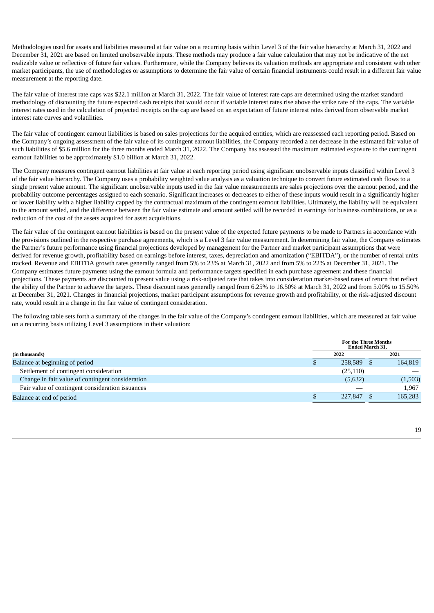Methodologies used for assets and liabilities measured at fair value on a recurring basis within Level 3 of the fair value hierarchy at March 31, 2022 and December 31, 2021 are based on limited unobservable inputs. These methods may produce a fair value calculation that may not be indicative of the net realizable value or reflective of future fair values. Furthermore, while the Company believes its valuation methods are appropriate and consistent with other market participants, the use of methodologies or assumptions to determine the fair value of certain financial instruments could result in a different fair value measurement at the reporting date.

The fair value of interest rate caps was \$22.1 million at March 31, 2022. The fair value of interest rate caps are determined using the market standard methodology of discounting the future expected cash receipts that would occur if variable interest rates rise above the strike rate of the caps. The variable interest rates used in the calculation of projected receipts on the cap are based on an expectation of future interest rates derived from observable market interest rate curves and volatilities.

The fair value of contingent earnout liabilities is based on sales projections for the acquired entities, which are reassessed each reporting period. Based on the Company's ongoing assessment of the fair value of its contingent earnout liabilities, the Company recorded a net decrease in the estimated fair value of such liabilities of \$5.6 million for the three months ended March 31, 2022. The Company has assessed the maximum estimated exposure to the contingent earnout liabilities to be approximately \$1.0 billion at March 31, 2022.

The Company measures contingent earnout liabilities at fair value at each reporting period using significant unobservable inputs classified within Level 3 of the fair value hierarchy. The Company uses a probability weighted value analysis as a valuation technique to convert future estimated cash flows to a single present value amount. The significant unobservable inputs used in the fair value measurements are sales projections over the earnout period, and the probability outcome percentages assigned to each scenario. Significant increases or decreases to either of these inputs would result in a significantly higher or lower liability with a higher liability capped by the contractual maximum of the contingent earnout liabilities. Ultimately, the liability will be equivalent to the amount settled, and the difference between the fair value estimate and amount settled will be recorded in earnings for business combinations, or as a reduction of the cost of the assets acquired for asset acquisitions.

The fair value of the contingent earnout liabilities is based on the present value of the expected future payments to be made to Partners in accordance with the provisions outlined in the respective purchase agreements, which is a Level 3 fair value measurement. In determining fair value, the Company estimates the Partner's future performance using financial projections developed by management for the Partner and market participant assumptions that were derived for revenue growth, profitability based on earnings before interest, taxes, depreciation and amortization ("EBITDA"), or the number of rental units tracked. Revenue and EBITDA growth rates generally ranged from 5% to 23% at March 31, 2022 and from 5% to 22% at December 31, 2021. The Company estimates future payments using the earnout formula and performance targets specified in each purchase agreement and these financial projections. These payments are discounted to present value using a risk-adjusted rate that takes into consideration market-based rates of return that reflect the ability of the Partner to achieve the targets. These discount rates generally ranged from 6.25% to 16.50% at March 31, 2022 and from 5.00% to 15.50% at December 31, 2021. Changes in financial projections, market participant assumptions for revenue growth and profitability, or the risk-adjusted discount rate, would result in a change in the fair value of contingent consideration.

The following table sets forth a summary of the changes in the fair value of the Company's contingent earnout liabilities, which are measured at fair value on a recurring basis utilizing Level 3 assumptions in their valuation:

| 2022      |  | 2021                                                  |  |  |
|-----------|--|-------------------------------------------------------|--|--|
| 258,589   |  | 164,819                                               |  |  |
| (25, 110) |  |                                                       |  |  |
| (5,632)   |  | (1,503)                                               |  |  |
|           |  | 1,967                                                 |  |  |
| 227,847   |  | 165,283                                               |  |  |
|           |  | <b>For the Three Months</b><br><b>Ended March 31.</b> |  |  |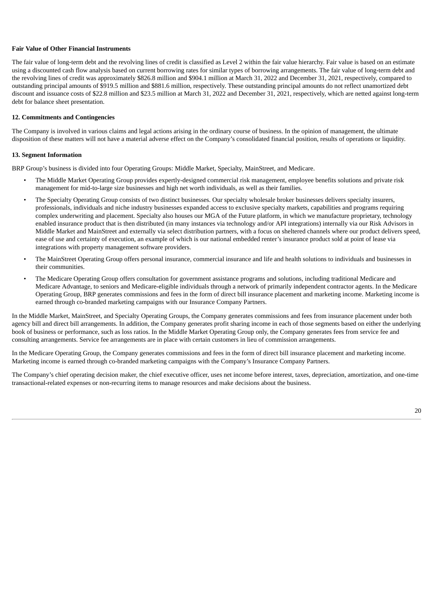## **Fair Value of Other Financial Instruments**

The fair value of long-term debt and the revolving lines of credit is classified as Level 2 within the fair value hierarchy. Fair value is based on an estimate using a discounted cash flow analysis based on current borrowing rates for similar types of borrowing arrangements. The fair value of long-term debt and the revolving lines of credit was approximately \$826.8 million and \$904.1 million at March 31, 2022 and December 31, 2021, respectively, compared to outstanding principal amounts of \$919.5 million and \$881.6 million, respectively. These outstanding principal amounts do not reflect unamortized debt discount and issuance costs of \$22.8 million and \$23.5 million at March 31, 2022 and December 31, 2021, respectively, which are netted against long-term debt for balance sheet presentation.

## **12. Commitments and Contingencies**

The Company is involved in various claims and legal actions arising in the ordinary course of business. In the opinion of management, the ultimate disposition of these matters will not have a material adverse effect on the Company's consolidated financial position, results of operations or liquidity.

## **13. Segment Information**

BRP Group's business is divided into four Operating Groups: Middle Market, Specialty, MainStreet, and Medicare.

- The Middle Market Operating Group provides expertly-designed commercial risk management, employee benefits solutions and private risk management for mid-to-large size businesses and high net worth individuals, as well as their families.
- The Specialty Operating Group consists of two distinct businesses. Our specialty wholesale broker businesses delivers specialty insurers, professionals, individuals and niche industry businesses expanded access to exclusive specialty markets, capabilities and programs requiring complex underwriting and placement. Specialty also houses our MGA of the Future platform, in which we manufacture proprietary, technology enabled insurance product that is then distributed (in many instances via technology and/or API integrations) internally via our Risk Advisors in Middle Market and MainStreet and externally via select distribution partners, with a focus on sheltered channels where our product delivers speed, ease of use and certainty of execution, an example of which is our national embedded renter's insurance product sold at point of lease via integrations with property management software providers.
- The MainStreet Operating Group offers personal insurance, commercial insurance and life and health solutions to individuals and businesses in their communities.
- The Medicare Operating Group offers consultation for government assistance programs and solutions, including traditional Medicare and Medicare Advantage, to seniors and Medicare-eligible individuals through a network of primarily independent contractor agents. In the Medicare Operating Group, BRP generates commissions and fees in the form of direct bill insurance placement and marketing income. Marketing income is earned through co-branded marketing campaigns with our Insurance Company Partners.

In the Middle Market, MainStreet, and Specialty Operating Groups, the Company generates commissions and fees from insurance placement under both agency bill and direct bill arrangements. In addition, the Company generates profit sharing income in each of those segments based on either the underlying book of business or performance, such as loss ratios. In the Middle Market Operating Group only, the Company generates fees from service fee and consulting arrangements. Service fee arrangements are in place with certain customers in lieu of commission arrangements.

In the Medicare Operating Group, the Company generates commissions and fees in the form of direct bill insurance placement and marketing income. Marketing income is earned through co-branded marketing campaigns with the Company's Insurance Company Partners.

The Company's chief operating decision maker, the chief executive officer, uses net income before interest, taxes, depreciation, amortization, and one-time transactional-related expenses or non-recurring items to manage resources and make decisions about the business.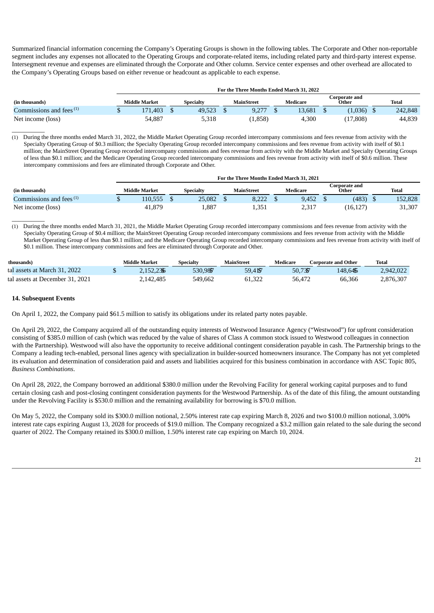Summarized financial information concerning the Company's Operating Groups is shown in the following tables. The Corporate and Other non-reportable segment includes any expenses not allocated to the Operating Groups and corporate-related items, including related party and third-party interest expense. Intersegment revenue and expenses are eliminated through the Corporate and Other column. Service center expenses and other overhead are allocated to the Company's Operating Groups based on either revenue or headcount as applicable to each expense.

|                            | For the Three Months Ended March 31, 2022 |  |           |  |                   |  |          |  |                        |  |              |  |
|----------------------------|-------------------------------------------|--|-----------|--|-------------------|--|----------|--|------------------------|--|--------------|--|
| (in thousands)             | <b>Middle Market</b>                      |  | Specialty |  | <b>MainStreet</b> |  | Medicare |  | Corporate and<br>Other |  | <b>Total</b> |  |
| Commissions and fees $(1)$ | 171,403<br>171                            |  | 49.523    |  | 9.277             |  | 13,681   |  | (1,036)                |  | 242,848      |  |
| Net income (loss)          | 54,887                                    |  | 5,318     |  | 1,858             |  | 4,300    |  | (17,808)               |  | 44,839       |  |

\_\_\_\_\_\_\_\_\_\_ (1) During the three months ended March 31, 2022, the Middle Market Operating Group recorded intercompany commissions and fees revenue from activity with the Specialty Operating Group of \$0.3 million; the Specialty Operating Group recorded intercompany commissions and fees revenue from activity with itself of \$0.1 million; the MainStreet Operating Group recorded intercompany commissions and fees revenue from activity with the Middle Market and Specialty Operating Groups of less than \$0.1 million; and the Medicare Operating Group recorded intercompany commissions and fees revenue from activity with itself of \$0.6 million. These intercompany commissions and fees are eliminated through Corporate and Other.

|                            |                                   | For the Three Months Ended March 31, 2021 |  |        |  |                   |          |       |  |                        |              |         |  |
|----------------------------|-----------------------------------|-------------------------------------------|--|--------|--|-------------------|----------|-------|--|------------------------|--------------|---------|--|
| (in thousands)             | <b>Middle Market</b><br>Specialty |                                           |  |        |  | <b>MainStreet</b> | Medicare |       |  | Corporate and<br>Other | <b>Total</b> |         |  |
| Commissions and fees $(1)$ |                                   | 110,555                                   |  | 25,082 |  | 8.222             |          | 9,452 |  | (483)                  |              | 152,828 |  |
| Net income (loss)          |                                   | 41,879                                    |  | 1.887  |  | 1.351             |          | 2,317 |  | (16,127                |              | 31,307  |  |

(1) During the three months ended March 31, 2021, the Middle Market Operating Group recorded intercompany commissions and fees revenue from activity with the Specialty Operating Group of \$0.4 million; the MainStreet Operating Group recorded intercompany commissions and fees revenue from activity with the Middle Market Operating Group of less than \$0.1 million; and the Medicare Operating Group recorded intercompany commissions and fees revenue from activity with itself of \$0.1 million. These intercompany commissions and fees are eliminated through Corporate and Other.

| thousands)                      | Middle Market | Specialtv | MainStreet | Medicare | Corporate and Other | Total     |
|---------------------------------|---------------|-----------|------------|----------|---------------------|-----------|
| tal assets at March 31, 2022    | 2.152.236     | 530.9857  | 59,415     | 50,7357  | 148.6455            | 2.942.022 |
| tal assets at December 31. 2021 | 2,142,485     | 549.662   | 61,322     | 56,472   | 66.366              | 2,876,307 |

## **14. Subsequent Events**

\_\_\_\_\_\_\_\_\_\_

On April 1, 2022, the Company paid \$61.5 million to satisfy its obligations under its related party notes payable.

On April 29, 2022, the Company acquired all of the outstanding equity interests of Westwood Insurance Agency ("Westwood") for upfront consideration consisting of \$385.0 million of cash (which was reduced by the value of shares of Class A common stock issued to Westwood colleagues in connection with the Partnership). Westwood will also have the opportunity to receive additional contingent consideration payable in cash. The Partnership brings to the Company a leading tech-enabled, personal lines agency with specialization in builder-sourced homeowners insurance. The Company has not yet completed its evaluation and determination of consideration paid and assets and liabilities acquired for this business combination in accordance with ASC Topic 805, *Business Combinations*.

On April 28, 2022, the Company borrowed an additional \$380.0 million under the Revolving Facility for general working capital purposes and to fund certain closing cash and post-closing contingent consideration payments for the Westwood Partnership. As of the date of this filing, the amount outstanding under the Revolving Facility is \$530.0 million and the remaining availability for borrowing is \$70.0 million.

<span id="page-20-0"></span>On May 5, 2022, the Company sold its \$300.0 million notional, 2.50% interest rate cap expiring March 8, 2026 and two \$100.0 million notional, 3.00% interest rate caps expiring August 13, 2028 for proceeds of \$19.0 million. The Company recognized a \$3.2 million gain related to the sale during the second quarter of 2022. The Company retained its \$300.0 million, 1.50% interest rate cap expiring on March 10, 2024.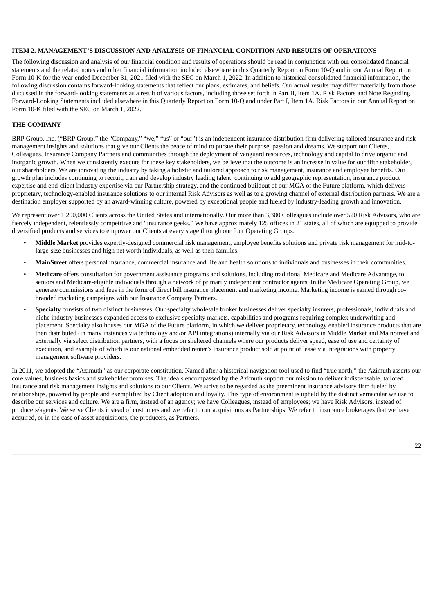#### **ITEM 2. MANAGEMENT'S DISCUSSION AND ANALYSIS OF FINANCIAL CONDITION AND RESULTS OF OPERATIONS**

The following discussion and analysis of our financial condition and results of operations should be read in conjunction with our consolidated financial statements and the related notes and other financial information included elsewhere in this Quarterly Report on Form 10-Q and in our Annual Report on Form 10-K for the year ended December 31, 2021 filed with the SEC on March 1, 2022. In addition to historical consolidated financial information, the following discussion contains forward-looking statements that reflect our plans, estimates, and beliefs. Our actual results may differ materially from those discussed in the forward-looking statements as a result of various factors, including those set forth in Part II, Item 1A. Risk Factors and Note Regarding Forward-Looking Statements included elsewhere in this Quarterly Report on Form 10-Q and under Part I, Item 1A. Risk Factors in our Annual Report on Form 10-K filed with the SEC on March 1, 2022.

## **THE COMPANY**

BRP Group, Inc. ("BRP Group," the "Company," "we," "us" or "our") is an independent insurance distribution firm delivering tailored insurance and risk management insights and solutions that give our Clients the peace of mind to pursue their purpose, passion and dreams. We support our Clients, Colleagues, Insurance Company Partners and communities through the deployment of vanguard resources, technology and capital to drive organic and inorganic growth. When we consistently execute for these key stakeholders, we believe that the outcome is an increase in value for our fifth stakeholder, our shareholders. We are innovating the industry by taking a holistic and tailored approach to risk management, insurance and employee benefits. Our growth plan includes continuing to recruit, train and develop industry leading talent, continuing to add geographic representation, insurance product expertise and end-client industry expertise via our Partnership strategy, and the continued buildout of our MGA of the Future platform, which delivers proprietary, technology-enabled insurance solutions to our internal Risk Advisors as well as to a growing channel of external distribution partners. We are a destination employer supported by an award-winning culture, powered by exceptional people and fueled by industry-leading growth and innovation.

We represent over 1,200,000 Clients across the United States and internationally. Our more than 3,300 Colleagues include over 520 Risk Advisors, who are fiercely independent, relentlessly competitive and "insurance geeks." We have approximately 125 offices in 21 states, all of which are equipped to provide diversified products and services to empower our Clients at every stage through our four Operating Groups.

- **Middle Market** provides expertly-designed commercial risk management, employee benefits solutions and private risk management for mid-tolarge-size businesses and high net worth individuals, as well as their families.
- **MainStreet** offers personal insurance, commercial insurance and life and health solutions to individuals and businesses in their communities.
- **Medicare** offers consultation for government assistance programs and solutions, including traditional Medicare and Medicare Advantage, to seniors and Medicare-eligible individuals through a network of primarily independent contractor agents. In the Medicare Operating Group, we generate commissions and fees in the form of direct bill insurance placement and marketing income. Marketing income is earned through cobranded marketing campaigns with our Insurance Company Partners.
- **Specialty** consists of two distinct businesses. Our specialty wholesale broker businesses deliver specialty insurers, professionals, individuals and niche industry businesses expanded access to exclusive specialty markets, capabilities and programs requiring complex underwriting and placement. Specialty also houses our MGA of the Future platform, in which we deliver proprietary, technology enabled insurance products that are then distributed (in many instances via technology and/or API integrations) internally via our Risk Advisors in Middle Market and MainStreet and externally via select distribution partners, with a focus on sheltered channels where our products deliver speed, ease of use and certainty of execution, and example of which is our national embedded renter's insurance product sold at point of lease via integrations with property management software providers.

In 2011, we adopted the "Azimuth" as our corporate constitution. Named after a historical navigation tool used to find "true north," the Azimuth asserts our core values, business basics and stakeholder promises. The ideals encompassed by the Azimuth support our mission to deliver indispensable, tailored insurance and risk management insights and solutions to our Clients. We strive to be regarded as the preeminent insurance advisory firm fueled by relationships, powered by people and exemplified by Client adoption and loyalty. This type of environment is upheld by the distinct vernacular we use to describe our services and culture. We are a firm, instead of an agency; we have Colleagues, instead of employees; we have Risk Advisors, instead of producers/agents. We serve Clients instead of customers and we refer to our acquisitions as Partnerships. We refer to insurance brokerages that we have acquired, or in the case of asset acquisitions, the producers, as Partners.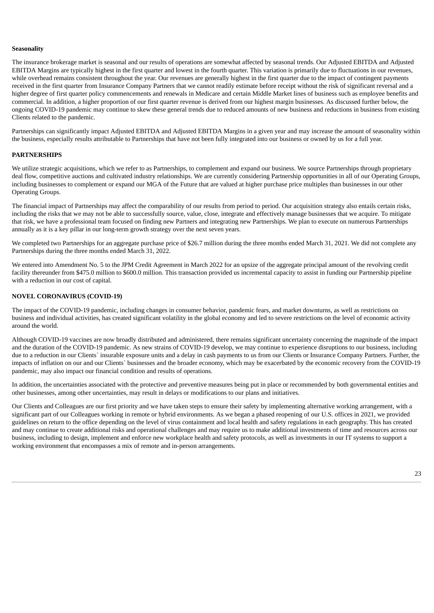#### **Seasonality**

The insurance brokerage market is seasonal and our results of operations are somewhat affected by seasonal trends. Our Adjusted EBITDA and Adjusted EBITDA Margins are typically highest in the first quarter and lowest in the fourth quarter. This variation is primarily due to fluctuations in our revenues, while overhead remains consistent throughout the year. Our revenues are generally highest in the first quarter due to the impact of contingent payments received in the first quarter from Insurance Company Partners that we cannot readily estimate before receipt without the risk of significant reversal and a higher degree of first quarter policy commencements and renewals in Medicare and certain Middle Market lines of business such as employee benefits and commercial. In addition, a higher proportion of our first quarter revenue is derived from our highest margin businesses. As discussed further below, the ongoing COVID-19 pandemic may continue to skew these general trends due to reduced amounts of new business and reductions in business from existing Clients related to the pandemic.

Partnerships can significantly impact Adjusted EBITDA and Adjusted EBITDA Margins in a given year and may increase the amount of seasonality within the business, especially results attributable to Partnerships that have not been fully integrated into our business or owned by us for a full year.

## **PARTNERSHIPS**

We utilize strategic acquisitions, which we refer to as Partnerships, to complement and expand our business. We source Partnerships through proprietary deal flow, competitive auctions and cultivated industry relationships. We are currently considering Partnership opportunities in all of our Operating Groups, including businesses to complement or expand our MGA of the Future that are valued at higher purchase price multiples than businesses in our other Operating Groups.

The financial impact of Partnerships may affect the comparability of our results from period to period. Our acquisition strategy also entails certain risks, including the risks that we may not be able to successfully source, value, close, integrate and effectively manage businesses that we acquire. To mitigate that risk, we have a professional team focused on finding new Partners and integrating new Partnerships. We plan to execute on numerous Partnerships annually as it is a key pillar in our long-term growth strategy over the next seven years.

We completed two Partnerships for an aggregate purchase price of \$26.7 million during the three months ended March 31, 2021. We did not complete any Partnerships during the three months ended March 31, 2022.

We entered into Amendment No. 5 to the JPM Credit Agreement in March 2022 for an upsize of the aggregate principal amount of the revolving credit facility thereunder from \$475.0 million to \$600.0 million. This transaction provided us incremental capacity to assist in funding our Partnership pipeline with a reduction in our cost of capital.

#### **NOVEL CORONAVIRUS (COVID-19)**

The impact of the COVID-19 pandemic, including changes in consumer behavior, pandemic fears, and market downturns, as well as restrictions on business and individual activities, has created significant volatility in the global economy and led to severe restrictions on the level of economic activity around the world.

Although COVID-19 vaccines are now broadly distributed and administered, there remains significant uncertainty concerning the magnitude of the impact and the duration of the COVID-19 pandemic. As new strains of COVID-19 develop, we may continue to experience disruptions to our business, including due to a reduction in our Clients` insurable exposure units and a delay in cash payments to us from our Clients or Insurance Company Partners. Further, the impacts of inflation on our and our Clients` businesses and the broader economy, which may be exacerbated by the economic recovery from the COVID-19 pandemic, may also impact our financial condition and results of operations.

In addition, the uncertainties associated with the protective and preventive measures being put in place or recommended by both governmental entities and other businesses, among other uncertainties, may result in delays or modifications to our plans and initiatives.

Our Clients and Colleagues are our first priority and we have taken steps to ensure their safety by implementing alternative working arrangement, with a significant part of our Colleagues working in remote or hybrid environments. As we began a phased reopening of our U.S. offices in 2021, we provided guidelines on return to the office depending on the level of virus containment and local health and safety regulations in each geography. This has created and may continue to create additional risks and operational challenges and may require us to make additional investments of time and resources across our business, including to design, implement and enforce new workplace health and safety protocols, as well as investments in our IT systems to support a working environment that encompasses a mix of remote and in-person arrangements.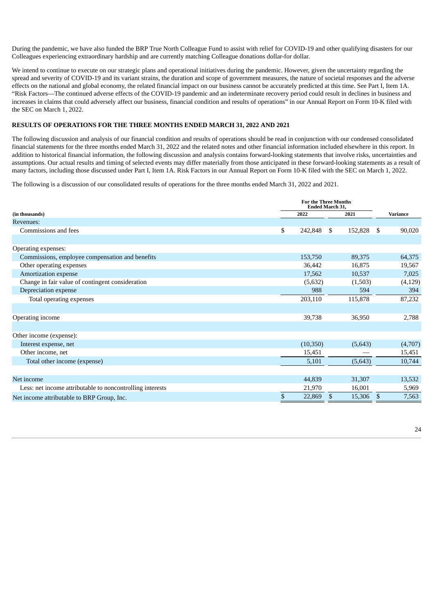During the pandemic, we have also funded the BRP True North Colleague Fund to assist with relief for COVID-19 and other qualifying disasters for our Colleagues experiencing extraordinary hardship and are currently matching Colleague donations dollar-for dollar.

We intend to continue to execute on our strategic plans and operational initiatives during the pandemic. However, given the uncertainty regarding the spread and severity of COVID-19 and its variant strains, the duration and scope of government measures, the nature of societal responses and the adverse effects on the national and global economy, the related financial impact on our business cannot be accurately predicted at this time. See Part I, Item 1A. "Risk Factors—The continued adverse effects of the COVID-19 pandemic and an indeterminate recovery period could result in declines in business and increases in claims that could adversely affect our business, financial condition and results of operations" in our Annual Report on Form 10-K filed with the SEC on March 1, 2022.

## **RESULTS OF OPERATIONS FOR THE THREE MONTHS ENDED MARCH 31, 2022 AND 2021**

The following discussion and analysis of our financial condition and results of operations should be read in conjunction with our condensed consolidated financial statements for the three months ended March 31, 2022 and the related notes and other financial information included elsewhere in this report. In addition to historical financial information, the following discussion and analysis contains forward-looking statements that involve risks, uncertainties and assumptions. Our actual results and timing of selected events may differ materially from those anticipated in these forward-looking statements as a result of many factors, including those discussed under Part I, Item 1A. Risk Factors in our Annual Report on Form 10-K filed with the SEC on March 1, 2022.

The following is a discussion of our consolidated results of operations for the three months ended March 31, 2022 and 2021.

|                                                           | <b>For the Three Months</b><br><b>Ended March 31,</b> |               |                |
|-----------------------------------------------------------|-------------------------------------------------------|---------------|----------------|
| (in thousands)                                            | 2022                                                  | 2021          | Variance       |
| Revenues:                                                 |                                                       |               |                |
| Commissions and fees                                      | \$<br>242,848                                         | 152,828<br>\$ | 90,020<br>- \$ |
|                                                           |                                                       |               |                |
| Operating expenses:                                       |                                                       |               |                |
| Commissions, employee compensation and benefits           | 153,750                                               | 89,375        | 64,375         |
| Other operating expenses                                  | 36,442                                                | 16,875        | 19,567         |
| Amortization expense                                      | 17,562                                                | 10,537        | 7,025          |
| Change in fair value of contingent consideration          | (5,632)                                               | (1,503)       | (4,129)        |
| Depreciation expense                                      | 988                                                   | 594           | 394            |
| Total operating expenses                                  | 203,110                                               | 115,878       | 87,232         |
|                                                           |                                                       |               |                |
| Operating income                                          | 39,738                                                | 36,950        | 2,788          |
|                                                           |                                                       |               |                |
| Other income (expense):                                   |                                                       |               |                |
| Interest expense, net                                     | (10, 350)                                             | (5,643)       | (4,707)        |
| Other income, net                                         | 15,451                                                |               | 15,451         |
| Total other income (expense)                              | 5,101                                                 | (5,643)       | 10,744         |
|                                                           |                                                       |               |                |
| Net income                                                | 44,839                                                | 31,307        | 13,532         |
| Less: net income attributable to noncontrolling interests | 21,970                                                | 16,001        | 5,969          |
| Net income attributable to BRP Group, Inc.                | 22,869<br>\$                                          | 15,306<br>\$. | 7,563<br>\$.   |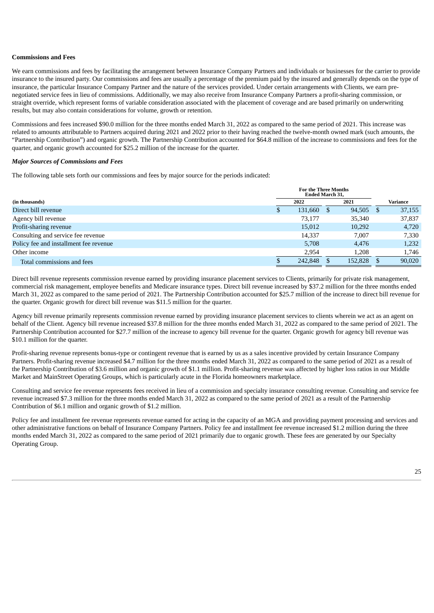#### **Commissions and Fees**

We earn commissions and fees by facilitating the arrangement between Insurance Company Partners and individuals or businesses for the carrier to provide insurance to the insured party. Our commissions and fees are usually a percentage of the premium paid by the insured and generally depends on the type of insurance, the particular Insurance Company Partner and the nature of the services provided. Under certain arrangements with Clients, we earn prenegotiated service fees in lieu of commissions. Additionally, we may also receive from Insurance Company Partners a profit-sharing commission, or straight override, which represent forms of variable consideration associated with the placement of coverage and are based primarily on underwriting results, but may also contain considerations for volume, growth or retention.

Commissions and fees increased \$90.0 million for the three months ended March 31, 2022 as compared to the same period of 2021. This increase was related to amounts attributable to Partners acquired during 2021 and 2022 prior to their having reached the twelve-month owned mark (such amounts, the "Partnership Contribution") and organic growth. The Partnership Contribution accounted for \$64.8 million of the increase to commissions and fees for the quarter, and organic growth accounted for \$25.2 million of the increase for the quarter.

#### *Major Sources of Commissions and Fees*

The following table sets forth our commissions and fees by major source for the periods indicated:

|                                        |   | <b>For the Three Months</b><br><b>Ended March 31.</b> |              |         |          |
|----------------------------------------|---|-------------------------------------------------------|--------------|---------|----------|
| (in thousands)                         |   | 2022                                                  |              | 2021    | Variance |
| Direct bill revenue                    | D | 131,660                                               | $\mathbf{S}$ | 94,505  | 37,155   |
| Agency bill revenue                    |   | 73.177                                                |              | 35,340  | 37,837   |
| Profit-sharing revenue                 |   | 15.012                                                |              | 10,292  | 4.720    |
| Consulting and service fee revenue     |   | 14,337                                                |              | 7.007   | 7,330    |
| Policy fee and installment fee revenue |   | 5.708                                                 |              | 4.476   | 1,232    |
| Other income                           |   | 2,954                                                 |              | 1,208   | 1,746    |
| Total commissions and fees             |   | 242,848                                               |              | 152,828 | 90,020   |

Direct bill revenue represents commission revenue earned by providing insurance placement services to Clients, primarily for private risk management, commercial risk management, employee benefits and Medicare insurance types. Direct bill revenue increased by \$37.2 million for the three months ended March 31, 2022 as compared to the same period of 2021. The Partnership Contribution accounted for \$25.7 million of the increase to direct bill revenue for the quarter. Organic growth for direct bill revenue was \$11.5 million for the quarter.

Agency bill revenue primarily represents commission revenue earned by providing insurance placement services to clients wherein we act as an agent on behalf of the Client. Agency bill revenue increased \$37.8 million for the three months ended March 31, 2022 as compared to the same period of 2021. The Partnership Contribution accounted for \$27.7 million of the increase to agency bill revenue for the quarter. Organic growth for agency bill revenue was \$10.1 million for the quarter.

Profit-sharing revenue represents bonus-type or contingent revenue that is earned by us as a sales incentive provided by certain Insurance Company Partners. Profit-sharing revenue increased \$4.7 million for the three months ended March 31, 2022 as compared to the same period of 2021 as a result of the Partnership Contribution of \$3.6 million and organic growth of \$1.1 million. Profit-sharing revenue was affected by higher loss ratios in our Middle Market and MainStreet Operating Groups, which is particularly acute in the Florida homeowners marketplace.

Consulting and service fee revenue represents fees received in lieu of a commission and specialty insurance consulting revenue. Consulting and service fee revenue increased \$7.3 million for the three months ended March 31, 2022 as compared to the same period of 2021 as a result of the Partnership Contribution of \$6.1 million and organic growth of \$1.2 million.

Policy fee and installment fee revenue represents revenue earned for acting in the capacity of an MGA and providing payment processing and services and other administrative functions on behalf of Insurance Company Partners. Policy fee and installment fee revenue increased \$1.2 million during the three months ended March 31, 2022 as compared to the same period of 2021 primarily due to organic growth. These fees are generated by our Specialty Operating Group.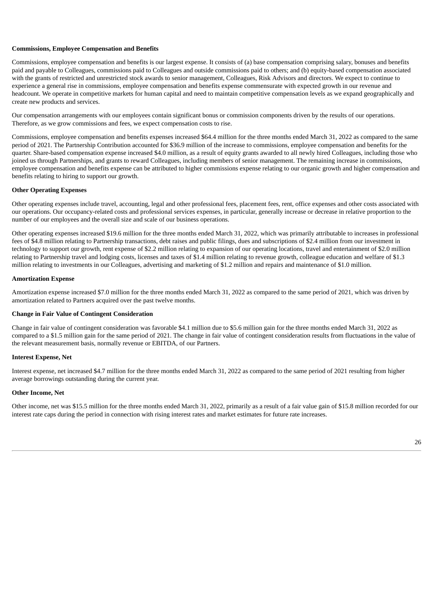## **Commissions, Employee Compensation and Benefits**

Commissions, employee compensation and benefits is our largest expense. It consists of (a) base compensation comprising salary, bonuses and benefits paid and payable to Colleagues, commissions paid to Colleagues and outside commissions paid to others; and (b) equity-based compensation associated with the grants of restricted and unrestricted stock awards to senior management, Colleagues, Risk Advisors and directors. We expect to continue to experience a general rise in commissions, employee compensation and benefits expense commensurate with expected growth in our revenue and headcount. We operate in competitive markets for human capital and need to maintain competitive compensation levels as we expand geographically and create new products and services.

Our compensation arrangements with our employees contain significant bonus or commission components driven by the results of our operations. Therefore, as we grow commissions and fees, we expect compensation costs to rise.

Commissions, employee compensation and benefits expenses increased \$64.4 million for the three months ended March 31, 2022 as compared to the same period of 2021. The Partnership Contribution accounted for \$36.9 million of the increase to commissions, employee compensation and benefits for the quarter. Share-based compensation expense increased \$4.0 million, as a result of equity grants awarded to all newly hired Colleagues, including those who joined us through Partnerships, and grants to reward Colleagues, including members of senior management. The remaining increase in commissions, employee compensation and benefits expense can be attributed to higher commissions expense relating to our organic growth and higher compensation and benefits relating to hiring to support our growth.

## **Other Operating Expenses**

Other operating expenses include travel, accounting, legal and other professional fees, placement fees, rent, office expenses and other costs associated with our operations. Our occupancy-related costs and professional services expenses, in particular, generally increase or decrease in relative proportion to the number of our employees and the overall size and scale of our business operations.

Other operating expenses increased \$19.6 million for the three months ended March 31, 2022, which was primarily attributable to increases in professional fees of \$4.8 million relating to Partnership transactions, debt raises and public filings, dues and subscriptions of \$2.4 million from our investment in technology to support our growth, rent expense of \$2.2 million relating to expansion of our operating locations, travel and entertainment of \$2.0 million relating to Partnership travel and lodging costs, licenses and taxes of \$1.4 million relating to revenue growth, colleague education and welfare of \$1.3 million relating to investments in our Colleagues, advertising and marketing of \$1.2 million and repairs and maintenance of \$1.0 million.

#### **Amortization Expense**

Amortization expense increased \$7.0 million for the three months ended March 31, 2022 as compared to the same period of 2021, which was driven by amortization related to Partners acquired over the past twelve months.

#### **Change in Fair Value of Contingent Consideration**

Change in fair value of contingent consideration was favorable \$4.1 million due to \$5.6 million gain for the three months ended March 31, 2022 as compared to a \$1.5 million gain for the same period of 2021. The change in fair value of contingent consideration results from fluctuations in the value of the relevant measurement basis, normally revenue or EBITDA, of our Partners.

#### **Interest Expense, Net**

Interest expense, net increased \$4.7 million for the three months ended March 31, 2022 as compared to the same period of 2021 resulting from higher average borrowings outstanding during the current year.

#### **Other Income, Net**

Other income, net was \$15.5 million for the three months ended March 31, 2022, primarily as a result of a fair value gain of \$15.8 million recorded for our interest rate caps during the period in connection with rising interest rates and market estimates for future rate increases.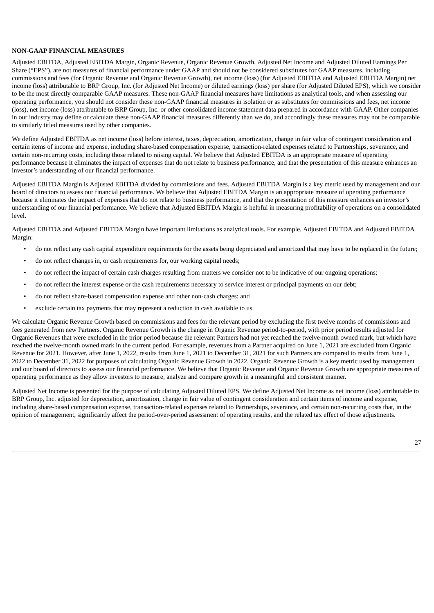### **NON-GAAP FINANCIAL MEASURES**

Adjusted EBITDA, Adjusted EBITDA Margin, Organic Revenue, Organic Revenue Growth, Adjusted Net Income and Adjusted Diluted Earnings Per Share ("EPS"), are not measures of financial performance under GAAP and should not be considered substitutes for GAAP measures, including commissions and fees (for Organic Revenue and Organic Revenue Growth), net income (loss) (for Adjusted EBITDA and Adjusted EBITDA Margin) net income (loss) attributable to BRP Group, Inc. (for Adjusted Net Income) or diluted earnings (loss) per share (for Adjusted Diluted EPS), which we consider to be the most directly comparable GAAP measures. These non-GAAP financial measures have limitations as analytical tools, and when assessing our operating performance, you should not consider these non-GAAP financial measures in isolation or as substitutes for commissions and fees, net income (loss), net income (loss) attributable to BRP Group, Inc. or other consolidated income statement data prepared in accordance with GAAP. Other companies in our industry may define or calculate these non-GAAP financial measures differently than we do, and accordingly these measures may not be comparable to similarly titled measures used by other companies.

We define Adjusted EBITDA as net income (loss) before interest, taxes, depreciation, amortization, change in fair value of contingent consideration and certain items of income and expense, including share-based compensation expense, transaction-related expenses related to Partnerships, severance, and certain non-recurring costs, including those related to raising capital. We believe that Adjusted EBITDA is an appropriate measure of operating performance because it eliminates the impact of expenses that do not relate to business performance, and that the presentation of this measure enhances an investor's understanding of our financial performance.

Adjusted EBITDA Margin is Adjusted EBITDA divided by commissions and fees. Adjusted EBITDA Margin is a key metric used by management and our board of directors to assess our financial performance. We believe that Adjusted EBITDA Margin is an appropriate measure of operating performance because it eliminates the impact of expenses that do not relate to business performance, and that the presentation of this measure enhances an investor's understanding of our financial performance. We believe that Adjusted EBITDA Margin is helpful in measuring profitability of operations on a consolidated level.

Adjusted EBITDA and Adjusted EBITDA Margin have important limitations as analytical tools. For example, Adjusted EBITDA and Adjusted EBITDA Margin:

- do not reflect any cash capital expenditure requirements for the assets being depreciated and amortized that may have to be replaced in the future;
- do not reflect changes in, or cash requirements for, our working capital needs;
- do not reflect the impact of certain cash charges resulting from matters we consider not to be indicative of our ongoing operations;
- do not reflect the interest expense or the cash requirements necessary to service interest or principal payments on our debt;
- do not reflect share-based compensation expense and other non-cash charges; and
- exclude certain tax payments that may represent a reduction in cash available to us.

We calculate Organic Revenue Growth based on commissions and fees for the relevant period by excluding the first twelve months of commissions and fees generated from new Partners. Organic Revenue Growth is the change in Organic Revenue period-to-period, with prior period results adjusted for Organic Revenues that were excluded in the prior period because the relevant Partners had not yet reached the twelve-month owned mark, but which have reached the twelve-month owned mark in the current period. For example, revenues from a Partner acquired on June 1, 2021 are excluded from Organic Revenue for 2021. However, after June 1, 2022, results from June 1, 2021 to December 31, 2021 for such Partners are compared to results from June 1, 2022 to December 31, 2022 for purposes of calculating Organic Revenue Growth in 2022. Organic Revenue Growth is a key metric used by management and our board of directors to assess our financial performance. We believe that Organic Revenue and Organic Revenue Growth are appropriate measures of operating performance as they allow investors to measure, analyze and compare growth in a meaningful and consistent manner.

Adjusted Net Income is presented for the purpose of calculating Adjusted Diluted EPS. We define Adjusted Net Income as net income (loss) attributable to BRP Group, Inc. adjusted for depreciation, amortization, change in fair value of contingent consideration and certain items of income and expense, including share-based compensation expense, transaction-related expenses related to Partnerships, severance, and certain non-recurring costs that, in the opinion of management, significantly affect the period-over-period assessment of operating results, and the related tax effect of those adjustments.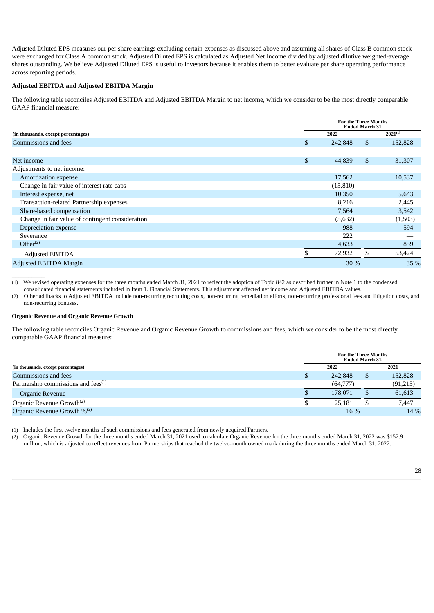Adjusted Diluted EPS measures our per share earnings excluding certain expenses as discussed above and assuming all shares of Class B common stock were exchanged for Class A common stock. Adjusted Diluted EPS is calculated as Adjusted Net Income divided by adjusted dilutive weighted-average shares outstanding. We believe Adjusted Diluted EPS is useful to investors because it enables them to better evaluate per share operating performance across reporting periods.

### **Adjusted EBITDA and Adjusted EBITDA Margin**

The following table reconciles Adjusted EBITDA and Adjusted EBITDA Margin to net income, which we consider to be the most directly comparable GAAP financial measure:

|                                                  | <b>For the Three Months</b><br>Ended March 31, |    |              |  |  |  |  |  |
|--------------------------------------------------|------------------------------------------------|----|--------------|--|--|--|--|--|
| (in thousands, except percentages)               | 2022                                           |    | $2021^{(1)}$ |  |  |  |  |  |
| Commissions and fees                             | \$<br>242,848                                  | \$ | 152,828      |  |  |  |  |  |
|                                                  |                                                |    |              |  |  |  |  |  |
| Net income                                       | \$<br>44,839                                   | \$ | 31,307       |  |  |  |  |  |
| Adjustments to net income:                       |                                                |    |              |  |  |  |  |  |
| Amortization expense                             | 17,562                                         |    | 10,537       |  |  |  |  |  |
| Change in fair value of interest rate caps       | (15, 810)                                      |    |              |  |  |  |  |  |
| Interest expense, net                            | 10,350                                         |    | 5,643        |  |  |  |  |  |
| Transaction-related Partnership expenses         | 8,216                                          |    | 2,445        |  |  |  |  |  |
| Share-based compensation                         | 7,564                                          |    | 3,542        |  |  |  |  |  |
| Change in fair value of contingent consideration | (5,632)                                        |    | (1,503)      |  |  |  |  |  |
| Depreciation expense                             | 988                                            |    | 594          |  |  |  |  |  |
| Severance                                        | 222                                            |    |              |  |  |  |  |  |
| Other <sup>(2)</sup>                             | 4,633                                          |    | 859          |  |  |  |  |  |
| Adjusted EBITDA                                  | 72,932                                         |    | 53,424       |  |  |  |  |  |
| <b>Adjusted EBITDA Margin</b>                    | 30%                                            |    | 35 %         |  |  |  |  |  |

(1) We revised operating expenses for the three months ended March 31, 2021 to reflect the adoption of Topic 842 as described further in Note 1 to the condensed consolidated financial statements included in Item 1. Financial Statements. This adjustment affected net income and Adjusted EBITDA values.

(2) Other addbacks to Adjusted EBITDA include non-recurring recruiting costs, non-recurring remediation efforts, non-recurring professional fees and litigation costs, and non-recurring bonuses.

#### **Organic Revenue and Organic Revenue Growth**

\_\_\_\_\_\_\_\_\_\_

 $\overline{\phantom{a}}$  . The contract of  $\overline{\phantom{a}}$ 

The following table reconciles Organic Revenue and Organic Revenue Growth to commissions and fees, which we consider to be the most directly comparable GAAP financial measure:

|                                                 |  | <b>For the Three Months</b><br><b>Ended March 31.</b> |  |          |  |  |
|-------------------------------------------------|--|-------------------------------------------------------|--|----------|--|--|
| (in thousands, except percentages)              |  | 2022                                                  |  | 2021     |  |  |
| Commissions and fees                            |  | 242,848                                               |  | 152,828  |  |  |
| Partnership commissions and fees <sup>(1)</sup> |  | (64,777)                                              |  | (91,215) |  |  |
| Organic Revenue                                 |  | 178.071                                               |  | 61,613   |  |  |
| Organic Revenue Growth <sup>(2)</sup>           |  | 25,181                                                |  | 7.447    |  |  |
| Organic Revenue Growth % <sup>(2)</sup>         |  | 16 %                                                  |  | 14 %     |  |  |

(1) Includes the first twelve months of such commissions and fees generated from newly acquired Partners.

(2) Organic Revenue Growth for the three months ended March 31, 2021 used to calculate Organic Revenue for the three months ended March 31, 2022 was \$152.9 million, which is adjusted to reflect revenues from Partnerships that reached the twelve-month owned mark during the three months ended March 31, 2022.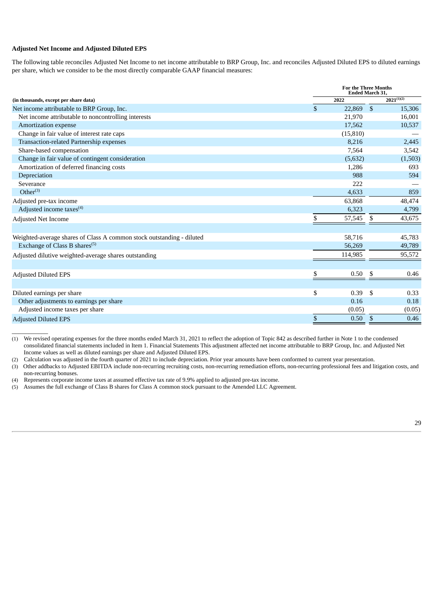## **Adjusted Net Income and Adjusted Diluted EPS**

 $\overline{\phantom{a}}$  . The contract of  $\overline{\phantom{a}}$ 

The following table reconciles Adjusted Net Income to net income attributable to BRP Group, Inc. and reconciles Adjusted Diluted EPS to diluted earnings per share, which we consider to be the most directly comparable GAAP financial measures:

|                                                                       |      | <b>For the Three Months</b><br><b>Ended March 31.</b> |                         |                 |
|-----------------------------------------------------------------------|------|-------------------------------------------------------|-------------------------|-----------------|
| (in thousands, except per share data)                                 | 2022 |                                                       |                         | $2021^{(1)(2)}$ |
| Net income attributable to BRP Group, Inc.                            | \$   | 22,869                                                | $\mathbb{S}$            | 15,306          |
| Net income attributable to noncontrolling interests                   |      | 21,970                                                |                         | 16,001          |
| Amortization expense                                                  |      | 17,562                                                |                         | 10,537          |
| Change in fair value of interest rate caps                            |      | (15, 810)                                             |                         |                 |
| Transaction-related Partnership expenses                              |      | 8,216                                                 |                         | 2,445           |
| Share-based compensation                                              |      | 7,564                                                 |                         | 3,542           |
| Change in fair value of contingent consideration                      |      | (5,632)                                               |                         | (1,503)         |
| Amortization of deferred financing costs                              |      | 1,286                                                 |                         | 693             |
| Depreciation                                                          |      | 988                                                   |                         | 594             |
| Severance                                                             |      | 222                                                   |                         |                 |
| Other $^{(3)}$                                                        |      | 4,633                                                 |                         | 859             |
| Adjusted pre-tax income                                               |      | 63,868                                                |                         | 48,474          |
| Adjusted income taxes <sup>(4)</sup>                                  |      | 6,323                                                 |                         | 4,799           |
| <b>Adjusted Net Income</b>                                            | \$   | 57,545                                                | -S                      | 43,675          |
|                                                                       |      |                                                       |                         |                 |
| Weighted-average shares of Class A common stock outstanding - diluted |      | 58,716                                                |                         | 45,783          |
| Exchange of Class B shares <sup>(5)</sup>                             |      | 56,269                                                |                         | 49,789          |
| Adjusted dilutive weighted-average shares outstanding                 |      | 114,985                                               |                         | 95,572          |
|                                                                       |      |                                                       |                         |                 |
| <b>Adjusted Diluted EPS</b>                                           | \$   | 0.50                                                  | \$                      | 0.46            |
|                                                                       |      |                                                       |                         |                 |
| Diluted earnings per share                                            | \$   | 0.39                                                  | -\$                     | 0.33            |
| Other adjustments to earnings per share                               |      | 0.16                                                  |                         | 0.18            |
| Adjusted income taxes per share                                       |      | (0.05)                                                |                         | (0.05)          |
| <b>Adjusted Diluted EPS</b>                                           | \$   | 0.50                                                  | $\mathbf{\mathfrak{S}}$ | 0.46            |

(1) We revised operating expenses for the three months ended March 31, 2021 to reflect the adoption of Topic 842 as described further in Note 1 to the condensed consolidated financial statements included in Item 1. Financial Statements This adjustment affected net income attributable to BRP Group, Inc. and Adjusted Net Income values as well as diluted earnings per share and Adjusted Diluted EPS.

(2) Calculation was adjusted in the fourth quarter of 2021 to include depreciation. Prior year amounts have been conformed to current year presentation.

(3) Other addbacks to Adjusted EBITDA include non-recurring recruiting costs, non-recurring remediation efforts, non-recurring professional fees and litigation costs, and non-recurring bonuses.

(4) Represents corporate income taxes at assumed effective tax rate of 9.9% applied to adjusted pre-tax income.

(5) Assumes the full exchange of Class B shares for Class A common stock pursuant to the Amended LLC Agreement.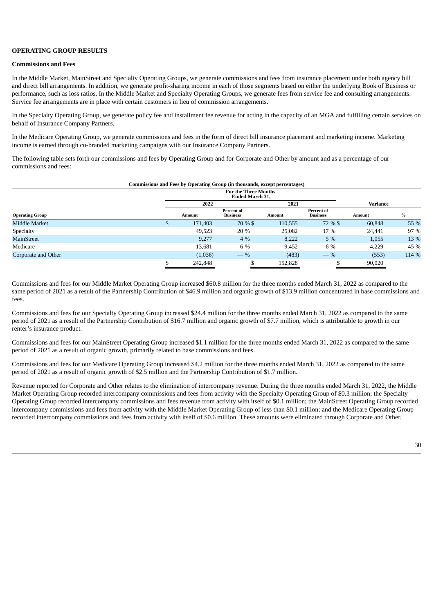#### **OPERATING GROUP RESULTS**

#### **Commissions and Fees**

In the Middle Market, MainStreet and Specialty Operating Groups, we generate commissions and fees from insurance placement under both agency bill and direct bill arrangements. In addition, we generate profit-sharing income in each of those segments based on either the underlying Book of Business or performance, such as loss ratios. In the Middle Market and Specialty Operating Groups, we generate fees from service fee and consulting arrangements. Service fee arrangements are in place with certain customers in lieu of commission arrangements.

In the Specialty Operating Group, we generate policy fee and installment fee revenue for acting in the capacity of an MGA and fulfilling certain services on behalf of Insurance Company Partners.

In the Medicare Operating Group, we generate commissions and fees in the form of direct bill insurance placement and marketing income. Marketing income is earned through co-branded marketing campaigns with our Insurance Company Partners.

The following table sets forth our commissions and fees by Operating Group and for Corporate and Other by amount and as a percentage of our commissions and fees:

| <b>Commissions and Fees by Operating Group (in thousands, except percentages)</b> |    |               |                               |         |                               |          |       |  |  |  |  |
|-----------------------------------------------------------------------------------|----|---------------|-------------------------------|---------|-------------------------------|----------|-------|--|--|--|--|
|                                                                                   |    |               |                               |         |                               |          |       |  |  |  |  |
| <b>Operating Group</b>                                                            |    | 2022          | 2021                          |         |                               | Variance |       |  |  |  |  |
|                                                                                   |    | <b>Amount</b> | Percent of<br><b>Business</b> | Amount  | Percent of<br><b>Business</b> | Amount   | %     |  |  |  |  |
| Middle Market                                                                     | \$ | 171,403       | 70 % \$                       | 110,555 | 72 % \$                       | 60,848   | 55 %  |  |  |  |  |
| Specialty                                                                         |    | 49,523        | 20 %                          | 25,082  | 17 %                          | 24,441   | 97 %  |  |  |  |  |
| MainStreet                                                                        |    | 9,277         | $4\%$                         | 8,222   | 5%                            | 1,055    | 13 %  |  |  |  |  |
| Medicare                                                                          |    | 13,681        | 6 %                           | 9,452   | 6 %                           | 4,229    | 45 %  |  |  |  |  |
| Corporate and Other                                                               |    | (1,036)       | $-$ %                         | (483)   | $-$ %                         | (553)    | 114 % |  |  |  |  |
|                                                                                   |    | 242,848       |                               | 152,828 |                               | 90,020   |       |  |  |  |  |

Commissions and fees for our Middle Market Operating Group increased \$60.8 million for the three months ended March 31, 2022 as compared to the same period of 2021 as a result of the Partnership Contribution of \$46.9 million and organic growth of \$13.9 million concentrated in base commissions and fees.

Commissions and fees for our Specialty Operating Group increased \$24.4 million for the three months ended March 31, 2022 as compared to the same period of 2021 as a result of the Partnership Contribution of \$16.7 million and organic growth of \$7.7 million, which is attributable to growth in our renter's insurance product.

Commissions and fees for our MainStreet Operating Group increased \$1.1 million for the three months ended March 31, 2022 as compared to the same period of 2021 as a result of organic growth, primarily related to base commissions and fees.

Commissions and fees for our Medicare Operating Group increased \$4.2 million for the three months ended March 31, 2022 as compared to the same period of 2021 as a result of organic growth of \$2.5 million and the Partnership Contribution of \$1.7 million.

Revenue reported for Corporate and Other relates to the elimination of intercompany revenue. During the three months ended March 31, 2022, the Middle Market Operating Group recorded intercompany commissions and fees from activity with the Specialty Operating Group of \$0.3 million; the Specialty Operating Group recorded intercompany commissions and fees revenue from activity with itself of \$0.1 million; the MainStreet Operating Group recorded intercompany commissions and fees from activity with the Middle Market Operating Group of less than \$0.1 million; and the Medicare Operating Group recorded intercompany commissions and fees from activity with itself of \$0.6 million. These amounts were eliminated through Corporate and Other.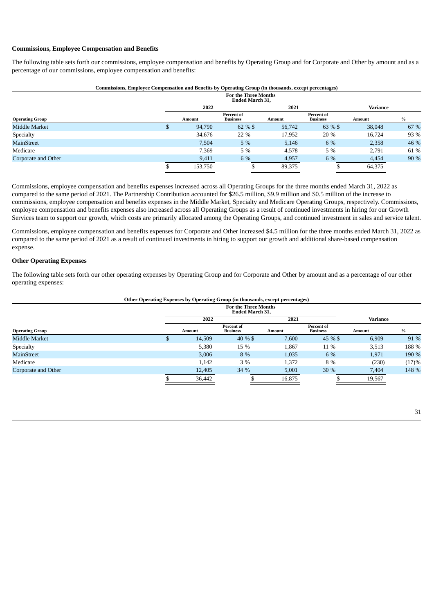## **Commissions, Employee Compensation and Benefits**

The following table sets forth our commissions, employee compensation and benefits by Operating Group and for Corporate and Other by amount and as a percentage of our commissions, employee compensation and benefits:

|                        | Commissions, Employee Compensation and Benefits by Operating Group (in thousands, except percentages) |               |                               |        |                               |          |      |  |
|------------------------|-------------------------------------------------------------------------------------------------------|---------------|-------------------------------|--------|-------------------------------|----------|------|--|
|                        |                                                                                                       |               |                               |        |                               |          |      |  |
|                        |                                                                                                       | 2022          |                               | 2021   |                               | Variance |      |  |
| <b>Operating Group</b> |                                                                                                       | <b>Amount</b> | Percent of<br><b>Business</b> | Amount | Percent of<br><b>Business</b> | Amount   | %    |  |
| Middle Market          | ٠D                                                                                                    | 94,790        | 62 % \$                       | 56,742 | 63 % \$                       | 38,048   | 67 % |  |
| Specialty              |                                                                                                       | 34,676        | 22 %                          | 17,952 | 20 %                          | 16.724   | 93 % |  |
| MainStreet             |                                                                                                       | 7,504         | $5\%$                         | 5,146  | 6 %                           | 2,358    | 46 % |  |
| Medicare               |                                                                                                       | 7,369         | $5\%$                         | 4,578  | 5 %                           | 2,791    | 61 % |  |
| Corporate and Other    |                                                                                                       | 9,411         | 6 %                           | 4,957  | 6 %                           | 4,454    | 90 % |  |
|                        |                                                                                                       | 153,750       |                               | 89.375 |                               | 64,375   |      |  |

#### **Commissions, Employee Compensation and Benefits by Operating Group (in thousands, except percentages)**

Commissions, employee compensation and benefits expenses increased across all Operating Groups for the three months ended March 31, 2022 as compared to the same period of 2021. The Partnership Contribution accounted for \$26.5 million, \$9.9 million and \$0.5 million of the increase to commissions, employee compensation and benefits expenses in the Middle Market, Specialty and Medicare Operating Groups, respectively. Commissions, employee compensation and benefits expenses also increased across all Operating Groups as a result of continued investments in hiring for our Growth Services team to support our growth, which costs are primarily allocated among the Operating Groups, and continued investment in sales and service talent.

Commissions, employee compensation and benefits expenses for Corporate and Other increased \$4.5 million for the three months ended March 31, 2022 as compared to the same period of 2021 as a result of continued investments in hiring to support our growth and additional share-based compensation expense.

## **Other Operating Expenses**

The following table sets forth our other operating expenses by Operating Group and for Corporate and Other by amount and as a percentage of our other operating expenses:

#### **Other Operating Expenses by Operating Group (in thousands, except percentages)**

|                        |   | 2022          |                               | 2021   |                               | Variance |       |  |
|------------------------|---|---------------|-------------------------------|--------|-------------------------------|----------|-------|--|
| <b>Operating Group</b> |   | <b>Amount</b> | Percent of<br><b>Business</b> | Amount | Percent of<br><b>Business</b> | Amount   | %     |  |
| Middle Market          | D | 14,509        | 40 % \$                       | 7,600  | 45 % \$                       | 6,909    | 91 %  |  |
| Specialty              |   | 5,380         | 15 %                          | 1,867  | 11 %                          | 3,513    | 188 % |  |
| MainStreet             |   | 3,006         | 8 %                           | 1,035  | 6 %                           | 1,971    | 190 % |  |
| Medicare               |   | 1,142         | $3\%$                         | 1,372  | 8 %                           | (230)    | (17)% |  |
| Corporate and Other    |   | 12,405        | 34 %                          | 5,001  | 30 %                          | 7,404    | 148 % |  |
|                        |   | 36,442        |                               | 16,875 |                               | 19,567   |       |  |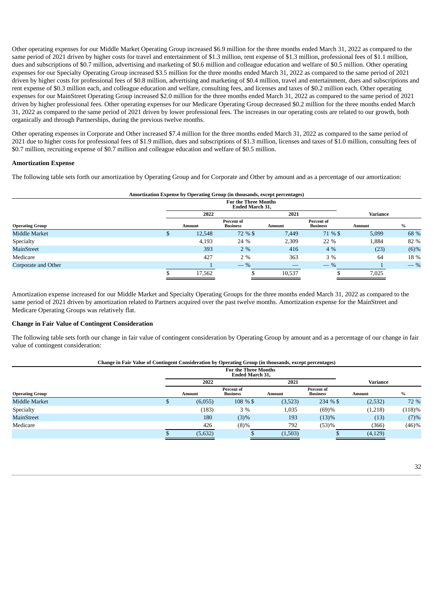Other operating expenses for our Middle Market Operating Group increased \$6.9 million for the three months ended March 31, 2022 as compared to the same period of 2021 driven by higher costs for travel and entertainment of \$1.3 million, rent expense of \$1.3 million, professional fees of \$1.1 million, dues and subscriptions of \$0.7 million, advertising and marketing of \$0.6 million and colleague education and welfare of \$0.5 million. Other operating expenses for our Specialty Operating Group increased \$3.5 million for the three months ended March 31, 2022 as compared to the same period of 2021 driven by higher costs for professional fees of \$0.8 million, advertising and marketing of \$0.4 million, travel and entertainment, dues and subscriptions and rent expense of \$0.3 million each, and colleague education and welfare, consulting fees, and licenses and taxes of \$0.2 million each. Other operating expenses for our MainStreet Operating Group increased \$2.0 million for the three months ended March 31, 2022 as compared to the same period of 2021 driven by higher professional fees. Other operating expenses for our Medicare Operating Group decreased \$0.2 million for the three months ended March 31, 2022 as compared to the same period of 2021 driven by lower professional fees. The increases in our operating costs are related to our growth, both organically and through Partnerships, during the previous twelve months.

Other operating expenses in Corporate and Other increased \$7.4 million for the three months ended March 31, 2022 as compared to the same period of 2021 due to higher costs for professional fees of \$1.9 million, dues and subscriptions of \$1.3 million, licenses and taxes of \$1.0 million, consulting fees of \$0.7 million, recruiting expense of \$0.7 million and colleague education and welfare of \$0.5 million.

## **Amortization Expense**

The following table sets forth our amortization by Operating Group and for Corporate and Other by amount and as a percentage of our amortization:

|                        |   |        | Amortization Expense by Operating Group (in thousands, except percentages) |               |                               |          |         |  |
|------------------------|---|--------|----------------------------------------------------------------------------|---------------|-------------------------------|----------|---------|--|
|                        |   |        |                                                                            |               |                               |          |         |  |
|                        |   | 2022   |                                                                            | 2021          |                               | Variance |         |  |
| <b>Operating Group</b> |   | Amount | Percent of<br><b>Business</b>                                              | <b>Amount</b> | Percent of<br><b>Business</b> | Amount   | %       |  |
| Middle Market          | m | 12,548 | 72 % \$                                                                    | 7,449         | 71 % \$                       | 5,099    | 68 %    |  |
| Specialty              |   | 4,193  | 24 %                                                                       | 2,309         | 22 %                          | 1,884    | 82 %    |  |
| <b>MainStreet</b>      |   | 393    | $2\%$                                                                      | 416           | $4\%$                         | (23)     | $(6)$ % |  |
| Medicare               |   | 427    | $2\%$                                                                      | 363           | 3%                            | 64       | 18 %    |  |
| Corporate and Other    |   |        | $-$ %                                                                      |               | $-$ %                         |          | $-$ %   |  |
|                        |   | 17,562 |                                                                            | 10,537        |                               | 7,025    |         |  |

Amortization expense increased for our Middle Market and Specialty Operating Groups for the three months ended March 31, 2022 as compared to the same period of 2021 driven by amortization related to Partners acquired over the past twelve months. Amortization expense for the MainStreet and Medicare Operating Groups was relatively flat.

#### **Change in Fair Value of Contingent Consideration**

The following table sets forth our change in fair value of contingent consideration by Operating Group by amount and as a percentage of our change in fair value of contingent consideration:

| Change in Fair Value of Contingent Consideration by Operating Group (in thousands, except percentages) |   |               |                               |               |                                      |          |          |  |  |  |  |
|--------------------------------------------------------------------------------------------------------|---|---------------|-------------------------------|---------------|--------------------------------------|----------|----------|--|--|--|--|
|                                                                                                        |   |               |                               |               |                                      |          |          |  |  |  |  |
|                                                                                                        |   | 2022          |                               | 2021          |                                      | Variance |          |  |  |  |  |
| <b>Operating Group</b>                                                                                 |   | <b>Amount</b> | Percent of<br><b>Business</b> | <b>Amount</b> | <b>Percent of</b><br><b>Business</b> | Amount   | %        |  |  |  |  |
| Middle Market                                                                                          | æ | (6,055)       | 108 % \$                      | (3,523)       | 234 % \$                             | (2,532)  | 72 %     |  |  |  |  |
| Specialty                                                                                              |   | (183)         | 3%                            | 1,035         | (69)%                                | (1,218)  | (118)%   |  |  |  |  |
| MainStreet                                                                                             |   | 180           | $(3)\%$                       | 193           | (13)%                                | (13)     | (7)%     |  |  |  |  |
| Medicare                                                                                               |   | 426           | $(8)\%$                       | 792           | (53)%                                | (366)    | $(46)\%$ |  |  |  |  |
|                                                                                                        |   | (5,632)       |                               | (1,503)       |                                      | (4, 129) |          |  |  |  |  |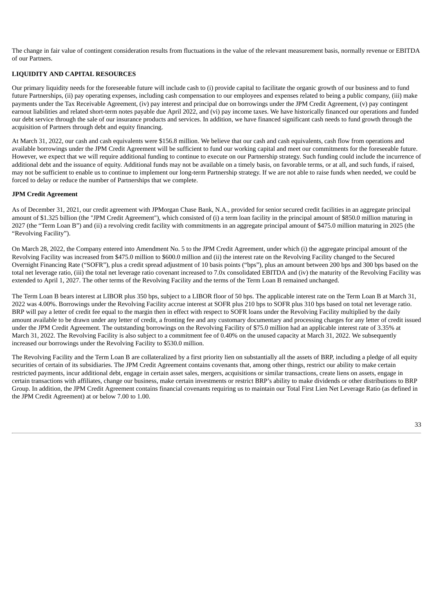The change in fair value of contingent consideration results from fluctuations in the value of the relevant measurement basis, normally revenue or EBITDA of our Partners.

## **LIQUIDITY AND CAPITAL RESOURCES**

Our primary liquidity needs for the foreseeable future will include cash to (i) provide capital to facilitate the organic growth of our business and to fund future Partnerships, (ii) pay operating expenses, including cash compensation to our employees and expenses related to being a public company, (iii) make payments under the Tax Receivable Agreement, (iv) pay interest and principal due on borrowings under the JPM Credit Agreement, (v) pay contingent earnout liabilities and related short-term notes payable due April 2022, and (vi) pay income taxes. We have historically financed our operations and funded our debt service through the sale of our insurance products and services. In addition, we have financed significant cash needs to fund growth through the acquisition of Partners through debt and equity financing.

At March 31, 2022, our cash and cash equivalents were \$156.8 million. We believe that our cash and cash equivalents, cash flow from operations and available borrowings under the JPM Credit Agreement will be sufficient to fund our working capital and meet our commitments for the foreseeable future. However, we expect that we will require additional funding to continue to execute on our Partnership strategy. Such funding could include the incurrence of additional debt and the issuance of equity. Additional funds may not be available on a timely basis, on favorable terms, or at all, and such funds, if raised, may not be sufficient to enable us to continue to implement our long-term Partnership strategy. If we are not able to raise funds when needed, we could be forced to delay or reduce the number of Partnerships that we complete.

## **JPM Credit Agreement**

As of December 31, 2021, our credit agreement with JPMorgan Chase Bank, N.A., provided for senior secured credit facilities in an aggregate principal amount of \$1.325 billion (the "JPM Credit Agreement"), which consisted of (i) a term loan facility in the principal amount of \$850.0 million maturing in 2027 (the "Term Loan B") and (ii) a revolving credit facility with commitments in an aggregate principal amount of \$475.0 million maturing in 2025 (the "Revolving Facility").

On March 28, 2022, the Company entered into Amendment No. 5 to the JPM Credit Agreement, under which (i) the aggregate principal amount of the Revolving Facility was increased from \$475.0 million to \$600.0 million and (ii) the interest rate on the Revolving Facility changed to the Secured Overnight Financing Rate ("SOFR"), plus a credit spread adjustment of 10 basis points ("bps"), plus an amount between 200 bps and 300 bps based on the total net leverage ratio, (iii) the total net leverage ratio covenant increased to 7.0x consolidated EBITDA and (iv) the maturity of the Revolving Facility was extended to April 1, 2027. The other terms of the Revolving Facility and the terms of the Term Loan B remained unchanged.

The Term Loan B bears interest at LIBOR plus 350 bps, subject to a LIBOR floor of 50 bps. The applicable interest rate on the Term Loan B at March 31, 2022 was 4.00%. Borrowings under the Revolving Facility accrue interest at SOFR plus 210 bps to SOFR plus 310 bps based on total net leverage ratio. BRP will pay a letter of credit fee equal to the margin then in effect with respect to SOFR loans under the Revolving Facility multiplied by the daily amount available to be drawn under any letter of credit, a fronting fee and any customary documentary and processing charges for any letter of credit issued under the JPM Credit Agreement. The outstanding borrowings on the Revolving Facility of \$75.0 million had an applicable interest rate of 3.35% at March 31, 2022. The Revolving Facility is also subject to a commitment fee of 0.40% on the unused capacity at March 31, 2022. We subsequently increased our borrowings under the Revolving Facility to \$530.0 million.

The Revolving Facility and the Term Loan B are collateralized by a first priority lien on substantially all the assets of BRP, including a pledge of all equity securities of certain of its subsidiaries. The JPM Credit Agreement contains covenants that, among other things, restrict our ability to make certain restricted payments, incur additional debt, engage in certain asset sales, mergers, acquisitions or similar transactions, create liens on assets, engage in certain transactions with affiliates, change our business, make certain investments or restrict BRP's ability to make dividends or other distributions to BRP Group. In addition, the JPM Credit Agreement contains financial covenants requiring us to maintain our Total First Lien Net Leverage Ratio (as defined in the JPM Credit Agreement) at or below 7.00 to 1.00.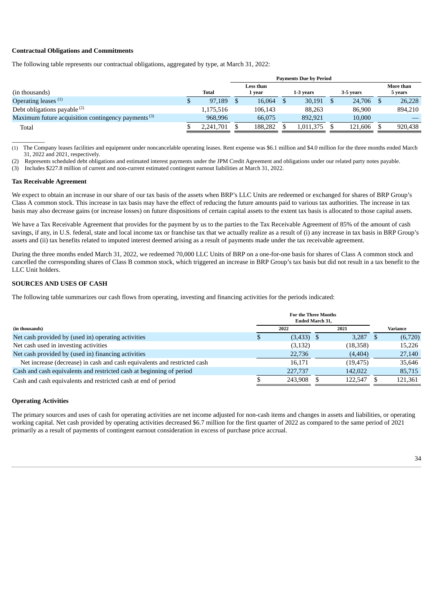#### **Contractual Obligations and Commitments**

The following table represents our contractual obligations, aggregated by type, at March 31, 2022:

|                                                                |              | <b>Payments Due by Period</b> |                     |  |           |  |           |  |                             |
|----------------------------------------------------------------|--------------|-------------------------------|---------------------|--|-----------|--|-----------|--|-----------------------------|
| (in thousands)                                                 | <b>Total</b> |                               | Less than<br>1 year |  | 1-3 vears |  | 3-5 years |  | <b>More than</b><br>5 years |
| Operating leases <sup>(1)</sup>                                | 97,189       |                               | 16.064              |  | 30,191    |  | 24,706    |  | 26,228                      |
| Debt obligations payable $(2)$                                 | 1,175,516    |                               | 106.143             |  | 88,263    |  | 86,900    |  | 894,210                     |
| Maximum future acquisition contingency payments <sup>(3)</sup> | 968.996      |                               | 66,075              |  | 892.921   |  | 10,000    |  |                             |
| Total                                                          | 2.241.701    |                               | 188.282             |  | 1.011.375 |  | 121,606   |  | 920,438                     |

(1) The Company leases facilities and equipment under noncancelable operating leases. Rent expense was \$6.1 million and \$4.0 million for the three months ended March 31, 2022 and 2021, respectively.

(2) Represents scheduled debt obligations and estimated interest payments under the JPM Credit Agreement and obligations under our related party notes payable.

(3) Includes \$227.8 million of current and non-current estimated contingent earnout liabilities at March 31, 2022.

#### **Tax Receivable Agreement**

 $\overline{\phantom{a}}$  . The contract of  $\overline{\phantom{a}}$ 

We expect to obtain an increase in our share of our tax basis of the assets when BRP's LLC Units are redeemed or exchanged for shares of BRP Group's Class A common stock. This increase in tax basis may have the effect of reducing the future amounts paid to various tax authorities. The increase in tax basis may also decrease gains (or increase losses) on future dispositions of certain capital assets to the extent tax basis is allocated to those capital assets.

We have a Tax Receivable Agreement that provides for the payment by us to the parties to the Tax Receivable Agreement of 85% of the amount of cash savings, if any, in U.S. federal, state and local income tax or franchise tax that we actually realize as a result of (i) any increase in tax basis in BRP Group's assets and (ii) tax benefits related to imputed interest deemed arising as a result of payments made under the tax receivable agreement.

During the three months ended March 31, 2022, we redeemed 70,000 LLC Units of BRP on a one-for-one basis for shares of Class A common stock and cancelled the corresponding shares of Class B common stock, which triggered an increase in BRP Group's tax basis but did not result in a tax benefit to the LLC Unit holders.

## **SOURCES AND USES OF CASH**

The following table summarizes our cash flows from operating, investing and financing activities for the periods indicated:

|                                                                          | <b>For the Three Months</b><br><b>Ended March 31,</b> |              |           |     |          |  |  |  |
|--------------------------------------------------------------------------|-------------------------------------------------------|--------------|-----------|-----|----------|--|--|--|
| (in thousands)                                                           |                                                       | 2022         | 2021      |     | Variance |  |  |  |
| Net cash provided by (used in) operating activities                      |                                                       | $(3,433)$ \$ | 3,287     | -85 | (6,720)  |  |  |  |
| Net cash used in investing activities                                    |                                                       | (3, 132)     | (18, 358) |     | 15,226   |  |  |  |
| Net cash provided by (used in) financing activities                      |                                                       | 22,736       | (4, 404)  |     | 27,140   |  |  |  |
| Net increase (decrease) in cash and cash equivalents and restricted cash |                                                       | 16.171       | (19, 475) |     | 35,646   |  |  |  |
| Cash and cash equivalents and restricted cash at beginning of period     |                                                       | 227,737      | 142,022   |     | 85,715   |  |  |  |
| Cash and cash equivalents and restricted cash at end of period           |                                                       | 243.908      | 122.547   |     | 121,361  |  |  |  |

## **Operating Activities**

The primary sources and uses of cash for operating activities are net income adjusted for non-cash items and changes in assets and liabilities, or operating working capital. Net cash provided by operating activities decreased \$6.7 million for the first quarter of 2022 as compared to the same period of 2021 primarily as a result of payments of contingent earnout consideration in excess of purchase price accrual.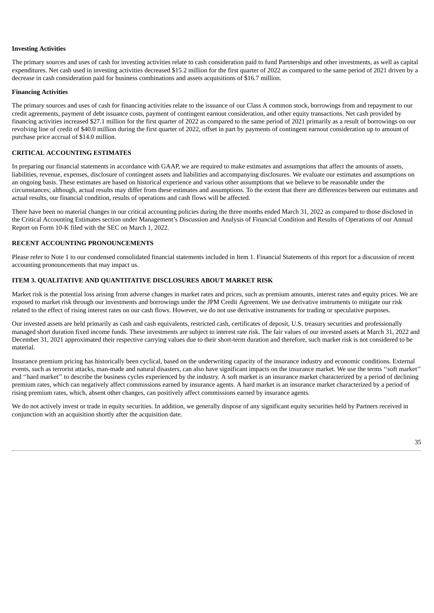## **Investing Activities**

The primary sources and uses of cash for investing activities relate to cash consideration paid to fund Partnerships and other investments, as well as capital expenditures. Net cash used in investing activities decreased \$15.2 million for the first quarter of 2022 as compared to the same period of 2021 driven by a decrease in cash consideration paid for business combinations and assets acquisitions of \$16.7 million.

## **Financing Activities**

The primary sources and uses of cash for financing activities relate to the issuance of our Class A common stock, borrowings from and repayment to our credit agreements, payment of debt issuance costs, payment of contingent earnout consideration, and other equity transactions. Net cash provided by financing activities increased \$27.1 million for the first quarter of 2022 as compared to the same period of 2021 primarily as a result of borrowings on our revolving line of credit of \$40.0 million during the first quarter of 2022, offset in part by payments of contingent earnout consideration up to amount of purchase price accrual of \$14.0 million.

#### **CRITICAL ACCOUNTING ESTIMATES**

In preparing our financial statements in accordance with GAAP, we are required to make estimates and assumptions that affect the amounts of assets, liabilities, revenue, expenses, disclosure of contingent assets and liabilities and accompanying disclosures. We evaluate our estimates and assumptions on an ongoing basis. These estimates are based on historical experience and various other assumptions that we believe to be reasonable under the circumstances; although, actual results may differ from these estimates and assumptions. To the extent that there are differences between our estimates and actual results, our financial condition, results of operations and cash flows will be affected.

There have been no material changes in our critical accounting policies during the three months ended March 31, 2022 as compared to those disclosed in the Critical Accounting Estimates section under Management's Discussion and Analysis of Financial Condition and Results of Operations of our Annual Report on Form 10-K filed with the SEC on March 1, 2022.

## **RECENT ACCOUNTING PRONOUNCEMENTS**

Please refer to Note 1 to our condensed consolidated financial statements included in Item 1. Financial Statements of this report for a discussion of recent accounting pronouncements that may impact us.

#### <span id="page-34-0"></span>**ITEM 3. QUALITATIVE AND QUANTITATIVE DISCLOSURES ABOUT MARKET RISK**

Market risk is the potential loss arising from adverse changes in market rates and prices, such as premium amounts, interest rates and equity prices. We are exposed to market risk through our investments and borrowings under the JPM Credit Agreement. We use derivative instruments to mitigate our risk related to the effect of rising interest rates on our cash flows. However, we do not use derivative instruments for trading or speculative purposes.

Our invested assets are held primarily as cash and cash equivalents, restricted cash, certificates of deposit, U.S. treasury securities and professionally managed short duration fixed income funds. These investments are subject to interest rate risk. The fair values of our invested assets at March 31, 2022 and December 31, 2021 approximated their respective carrying values due to their short-term duration and therefore, such market risk is not considered to be material.

Insurance premium pricing has historically been cyclical, based on the underwriting capacity of the insurance industry and economic conditions. External events, such as terrorist attacks, man-made and natural disasters, can also have significant impacts on the insurance market. We use the terms ''soft market'' and ''hard market'' to describe the business cycles experienced by the industry. A soft market is an insurance market characterized by a period of declining premium rates, which can negatively affect commissions earned by insurance agents. A hard market is an insurance market characterized by a period of rising premium rates, which, absent other changes, can positively affect commissions earned by insurance agents.

We do not actively invest or trade in equity securities. In addition, we generally dispose of any significant equity securities held by Partners received in conjunction with an acquisition shortly after the acquisition date.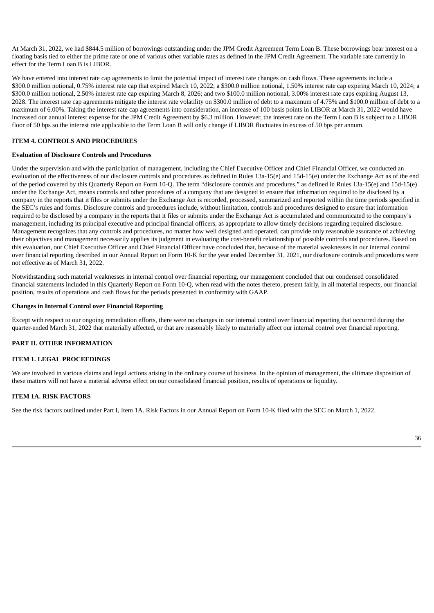At March 31, 2022, we had \$844.5 million of borrowings outstanding under the JPM Credit Agreement Term Loan B. These borrowings bear interest on a floating basis tied to either the prime rate or one of various other variable rates as defined in the JPM Credit Agreement. The variable rate currently in effect for the Term Loan B is LIBOR.

We have entered into interest rate cap agreements to limit the potential impact of interest rate changes on cash flows. These agreements include a \$300.0 million notional, 0.75% interest rate cap that expired March 10, 2022; a \$300.0 million notional, 1.50% interest rate cap expiring March 10, 2024; a \$300.0 million notional, 2.50% interest rate cap expiring March 8, 2026; and two \$100.0 million notional, 3.00% interest rate caps expiring August 13, 2028. The interest rate cap agreements mitigate the interest rate volatility on \$300.0 million of debt to a maximum of 4.75% and \$100.0 million of debt to a maximum of 6.00%. Taking the interest rate cap agreements into consideration, an increase of 100 basis points in LIBOR at March 31, 2022 would have increased our annual interest expense for the JPM Credit Agreement by \$6.3 million. However, the interest rate on the Term Loan B is subject to a LIBOR floor of 50 bps so the interest rate applicable to the Term Loan B will only change if LIBOR fluctuates in excess of 50 bps per annum.

## <span id="page-35-0"></span>**ITEM 4. CONTROLS AND PROCEDURES**

## **Evaluation of Disclosure Controls and Procedures**

Under the supervision and with the participation of management, including the Chief Executive Officer and Chief Financial Officer, we conducted an evaluation of the effectiveness of our disclosure controls and procedures as defined in Rules 13a-15(e) and 15d-15(e) under the Exchange Act as of the end of the period covered by this Quarterly Report on Form 10-Q. The term "disclosure controls and procedures," as defined in Rules 13a-15(e) and 15d-15(e) under the Exchange Act, means controls and other procedures of a company that are designed to ensure that information required to be disclosed by a company in the reports that it files or submits under the Exchange Act is recorded, processed, summarized and reported within the time periods specified in the SEC's rules and forms. Disclosure controls and procedures include, without limitation, controls and procedures designed to ensure that information required to be disclosed by a company in the reports that it files or submits under the Exchange Act is accumulated and communicated to the company's management, including its principal executive and principal financial officers, as appropriate to allow timely decisions regarding required disclosure. Management recognizes that any controls and procedures, no matter how well designed and operated, can provide only reasonable assurance of achieving their objectives and management necessarily applies its judgment in evaluating the cost-benefit relationship of possible controls and procedures. Based on this evaluation, our Chief Executive Officer and Chief Financial Officer have concluded that, because of the material weaknesses in our internal control over financial reporting described in our Annual Report on Form 10-K for the year ended December 31, 2021, our disclosure controls and procedures were not effective as of March 31, 2022.

Notwithstanding such material weaknesses in internal control over financial reporting, our management concluded that our condensed consolidated financial statements included in this Quarterly Report on Form 10-Q, when read with the notes thereto, present fairly, in all material respects, our financial position, results of operations and cash flows for the periods presented in conformity with GAAP.

### **Changes in Internal Control over Financial Reporting**

Except with respect to our ongoing remediation efforts, there were no changes in our internal control over financial reporting that occurred during the quarter-ended March 31, 2022 that materially affected, or that are reasonably likely to materially affect our internal control over financial reporting.

## <span id="page-35-1"></span>**PART II. OTHER INFORMATION**

## <span id="page-35-2"></span>**ITEM 1. LEGAL PROCEEDINGS**

We are involved in various claims and legal actions arising in the ordinary course of business. In the opinion of management, the ultimate disposition of these matters will not have a material adverse effect on our consolidated financial position, results of operations or liquidity.

## <span id="page-35-3"></span>**ITEM 1A. RISK FACTORS**

<span id="page-35-4"></span>See the risk factors outlined under Part I, Item 1A. Risk Factors in our Annual Report on Form 10-K filed with the SEC on March 1, 2022.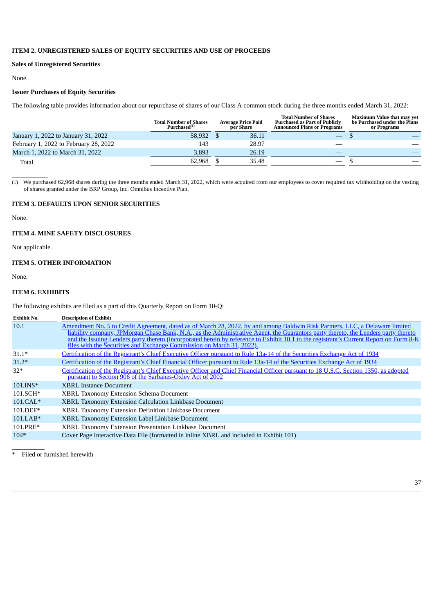## **ITEM 2. UNREGISTERED SALES OF EQUITY SECURITIES AND USE OF PROCEEDS**

## **Sales of Unregistered Securities**

None.

## **Issuer Purchases of Equity Securities**

The following table provides information about our repurchase of shares of our Class A common stock during the three months ended March 31, 2022:

|                                       | <b>Total Number of Shares</b><br>Purchased <sup>(1)</sup> | Average Price Paid<br>per Share | <b>Total Number of Shares</b><br><b>Purchased as Part of Publicly</b><br><b>Announced Plans or Programs</b> | <b>Maximum Value that may yet</b><br>be Purchased under the Plans<br>or Programs |
|---------------------------------------|-----------------------------------------------------------|---------------------------------|-------------------------------------------------------------------------------------------------------------|----------------------------------------------------------------------------------|
| January 1, 2022 to January 31, 2022   | 58,932                                                    | 36.11                           |                                                                                                             |                                                                                  |
| February 1, 2022 to February 28, 2022 | 143                                                       | 28.97                           |                                                                                                             |                                                                                  |
| March 1, 2022 to March 31, 2022       | 3.893                                                     | 26.19                           |                                                                                                             |                                                                                  |
| Total                                 | 62.968                                                    | 35.48                           | $\hspace{0.05cm}$                                                                                           |                                                                                  |

 $(1)$  We purchased 62,968 shares during the three months ended March 31, 2022, which were acquired from our employees to cover required tax withholding on the vesting of shares granted under the BRP Group, Inc. Omnibus Incentive Plan.

## <span id="page-36-0"></span>**ITEM 3. DEFAULTS UPON SENIOR SECURITIES**

<span id="page-36-1"></span>None.

## **ITEM 4. MINE SAFETY DISCLOSURES**

<span id="page-36-2"></span>Not applicable.

 $\overline{\phantom{a}}$ 

## **ITEM 5. OTHER INFORMATION**

<span id="page-36-3"></span>None.

### **ITEM 6. EXHIBITS**

The following exhibits are filed as a part of this Quarterly Report on Form 10-Q:

| <b>Exhibit No.</b> | <b>Description of Exhibit</b>                                                                                                                                                                                                                                                                                                                                                                                                                                                         |
|--------------------|---------------------------------------------------------------------------------------------------------------------------------------------------------------------------------------------------------------------------------------------------------------------------------------------------------------------------------------------------------------------------------------------------------------------------------------------------------------------------------------|
| 10.1               | Amendment No. 5 to Credit Agreement, dated as of March 28, 2022, by and among Baldwin Risk Partners, LLC, a Delaware limited<br>liability company, JPMorgan Chase Bank, N.A., as the Administrative Agent, the Guarantors party thereto, the Lenders party thereto<br>and the Issuing Lenders party thereto (incorporated herein by reference to Exhibit 10.1 to the registrant's Current Report on Form 8-K<br>files with the Securities and Exchange Commission on March 31, 2022). |
| $31.1*$            | Certification of the Registrant's Chief Executive Officer pursuant to Rule 13a-14 of the Securities Exchange Act of 1934                                                                                                                                                                                                                                                                                                                                                              |
| $31.2*$            | Certification of the Registrant's Chief Financial Officer pursuant to Rule 13a-14 of the Securities Exchange Act of 1934                                                                                                                                                                                                                                                                                                                                                              |
| $32*$              | Certification of the Registrant's Chief Executive Officer and Chief Financial Officer pursuant to 18 U.S.C. Section 1350, as adopted<br>pursuant to Section 906 of the Sarbanes-Oxley Act of 2002                                                                                                                                                                                                                                                                                     |
| $101.$ IN $S^*$    | <b>XBRL Instance Document</b>                                                                                                                                                                                                                                                                                                                                                                                                                                                         |
| $101.SCH*$         | <b>XBRL Taxonomy Extension Schema Document</b>                                                                                                                                                                                                                                                                                                                                                                                                                                        |
| $101.CAL*$         | XBRL Taxonomy Extension Calculation Linkbase Document                                                                                                                                                                                                                                                                                                                                                                                                                                 |
| $101.DEF*$         | <b>XBRL Taxonomy Extension Definition Linkbase Document</b>                                                                                                                                                                                                                                                                                                                                                                                                                           |
| $101.LAB*$         | XBRL Taxonomy Extension Label Linkbase Document                                                                                                                                                                                                                                                                                                                                                                                                                                       |
| 101.PRE*           | XBRL Taxonomy Extension Presentation Linkbase Document                                                                                                                                                                                                                                                                                                                                                                                                                                |
| $104*$             | Cover Page Interactive Data File (formatted in inline XBRL and included in Exhibit 101)                                                                                                                                                                                                                                                                                                                                                                                               |

<span id="page-36-4"></span>\* Filed or furnished herewith

**\_\_\_\_\_\_\_\_\_\_**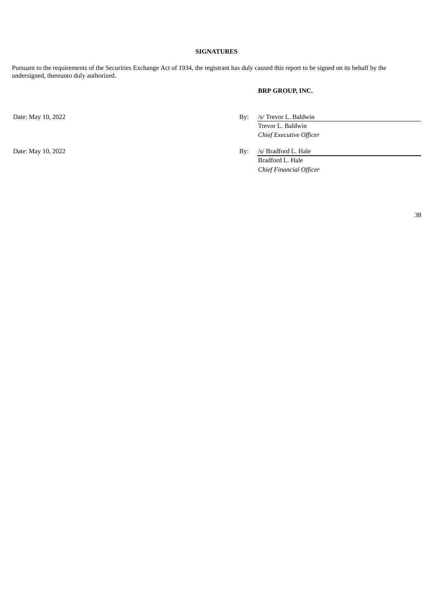## **SIGNATURES**

Pursuant to the requirements of the Securities Exchange Act of 1934, the registrant has duly caused this report to be signed on its behalf by the undersigned, thereunto duly authorized.

## **BRP GROUP, INC.**

Date: May 10, 2022 By: /s/ Trevor L. Baldwin Trevor L. Baldwin *Chief Executive Officer*

Date: May 10, 2022 By: /s/ Bradford L. Hale Bradford L. Hale *Chief Financial Officer*

38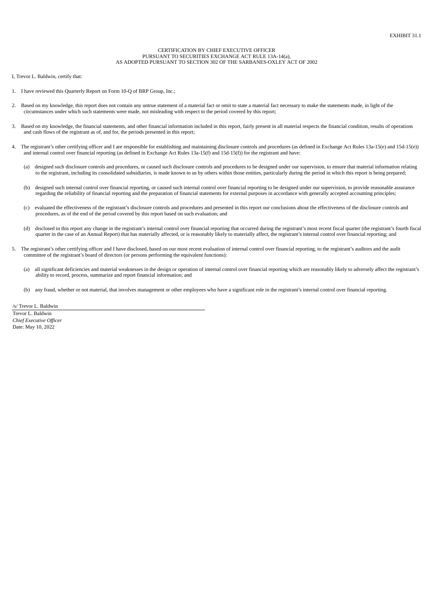#### CERTIFICATION BY CHIEF EXECUTIVE OFFICER PURSUANT TO SECURITIES EXCHANGE ACT RULE 13A-14(a), AS ADOPTED PURSUANT TO SECTION 302 OF THE SARBANES-OXLEY ACT OF 2002

<span id="page-38-0"></span>I, Trevor L. Baldwin, certify that:

- 1. I have reviewed this Quarterly Report on Form 10-Q of BRP Group, Inc.;
- 2. Based on my knowledge, this report does not contain any untrue statement of a material fact or omit to state a material fact necessary to make the statements made, in light of the circumstances under which such statements were made, not misleading with respect to the period covered by this report;
- 3. Based on my knowledge, the financial statements, and other financial information included in this report, fairly present in all material respects the financial condition, results of operations and cash flows of the registrant as of, and for, the periods presented in this report;
- 4. The registrant's other certifying officer and I are responsible for establishing and maintaining disclosure controls and procedures (as defined in Exchange Act Rules 13a-15(e) and 15d-15(e)) and internal control over financial reporting (as defined in Exchange Act Rules 13a-15(f) and 15d-15(f)) for the registrant and have:
	- (a) designed such disclosure controls and procedures, or caused such disclosure controls and procedures to be designed under our supervision, to ensure that material information relating to the registrant, including its consolidated subsidiaries, is made known to us by others within those entities, particularly during the period in which this report is being prepared;
	- (b) designed such internal control over financial reporting, or caused such internal control over financial reporting to be designed under our supervision, to provide reasonable assurance regarding the reliability of financial reporting and the preparation of financial statements for external purposes in accordance with generally accepted accounting principles;
	- (c) evaluated the effectiveness of the registrant's disclosure controls and procedures and presented in this report our conclusions about the effectiveness of the disclosure controls and procedures, as of the end of the period covered by this report based on such evaluation; and
	- (d) disclosed in this report any change in the registrant's internal control over financial reporting that occurred during the registrant's most recent fiscal quarter (the registrant's fourth fiscal quarter in the case of an Annual Report) that has materially affected, or is reasonably likely to materially affect, the registrant's internal control over financial reporting; and
- 5. The registrant's other certifying officer and I have disclosed, based on our most recent evaluation of internal control over financial reporting, to the registrant's auditors and the audit committee of the registrant's board of directors (or persons performing the equivalent functions):
	- (a) all significant deficiencies and material weaknesses in the design or operation of internal control over financial reporting which are reasonably likely to adversely affect the registrant's ability to record, process, summarize and report financial information; and
	- (b) any fraud, whether or not material, that involves management or other employees who have a significant role in the registrant's internal control over financial reporting.

/s/ Trevor L. Baldwin

Trevor L. Baldwin *Chief Executive Officer* Date: May 10, 2022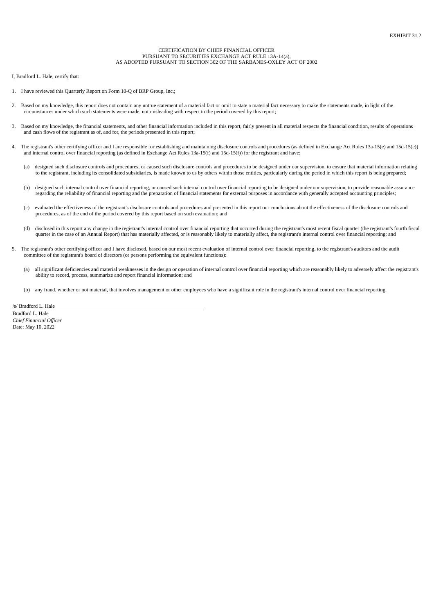#### CERTIFICATION BY CHIEF FINANCIAL OFFICER PURSUANT TO SECURITIES EXCHANGE ACT RULE 13A-14(a), AS ADOPTED PURSUANT TO SECTION 302 OF THE SARBANES-OXLEY ACT OF 2002

<span id="page-39-0"></span>I, Bradford L. Hale, certify that:

- 1. I have reviewed this Quarterly Report on Form 10-Q of BRP Group, Inc.;
- 2. Based on my knowledge, this report does not contain any untrue statement of a material fact or omit to state a material fact necessary to make the statements made, in light of the circumstances under which such statements were made, not misleading with respect to the period covered by this report;
- 3. Based on my knowledge, the financial statements, and other financial information included in this report, fairly present in all material respects the financial condition, results of operations and cash flows of the registrant as of, and for, the periods presented in this report;
- 4. The registrant's other certifying officer and I are responsible for establishing and maintaining disclosure controls and procedures (as defined in Exchange Act Rules 13a-15(e) and 15d-15(e)) and internal control over financial reporting (as defined in Exchange Act Rules 13a-15(f) and 15d-15(f)) for the registrant and have:
	- (a) designed such disclosure controls and procedures, or caused such disclosure controls and procedures to be designed under our supervision, to ensure that material information relating to the registrant, including its consolidated subsidiaries, is made known to us by others within those entities, particularly during the period in which this report is being prepared;
	- (b) designed such internal control over financial reporting, or caused such internal control over financial reporting to be designed under our supervision, to provide reasonable assurance regarding the reliability of financial reporting and the preparation of financial statements for external purposes in accordance with generally accepted accounting principles;
	- (c) evaluated the effectiveness of the registrant's disclosure controls and procedures and presented in this report our conclusions about the effectiveness of the disclosure controls and procedures, as of the end of the period covered by this report based on such evaluation; and
	- (d) disclosed in this report any change in the registrant's internal control over financial reporting that occurred during the registrant's most recent fiscal quarter (the registrant's fourth fiscal quarter in the case of an Annual Report) that has materially affected, or is reasonably likely to materially affect, the registrant's internal control over financial reporting; and
- 5. The registrant's other certifying officer and I have disclosed, based on our most recent evaluation of internal control over financial reporting, to the registrant's auditors and the audit committee of the registrant's board of directors (or persons performing the equivalent functions):
	- (a) all significant deficiencies and material weaknesses in the design or operation of internal control over financial reporting which are reasonably likely to adversely affect the registrant's ability to record, process, summarize and report financial information; and
	- (b) any fraud, whether or not material, that involves management or other employees who have a significant role in the registrant's internal control over financial reporting.

/s/ Bradford L. Hale

Bradford L. Hale *Chief Financial Officer* Date: May 10, 2022